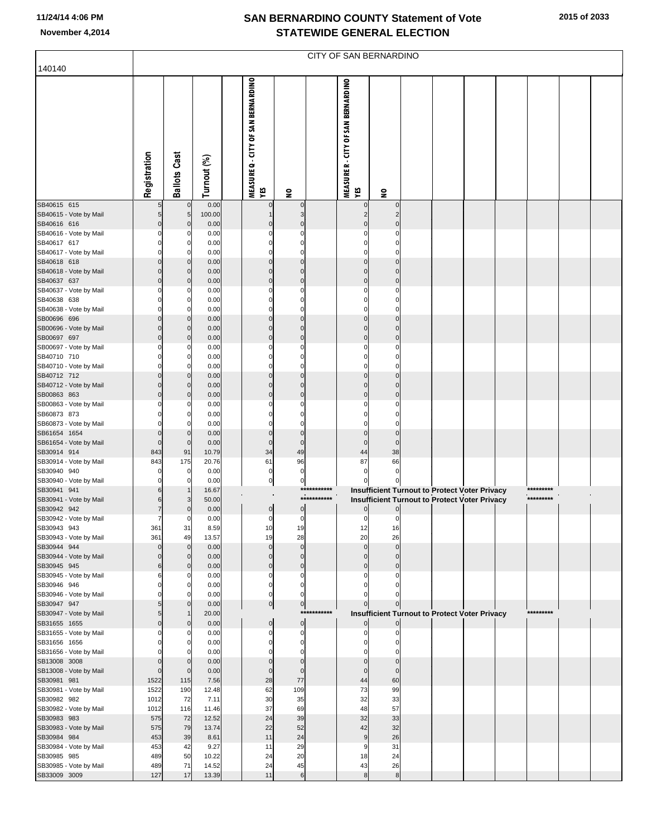**2015 of 2033**

| 140140                                 | CITY OF SAN BERNARDINO |                            |                |  |                                           |                                  |             |                                           |                         |  |  |                                                      |  |           |  |
|----------------------------------------|------------------------|----------------------------|----------------|--|-------------------------------------------|----------------------------------|-------------|-------------------------------------------|-------------------------|--|--|------------------------------------------------------|--|-----------|--|
|                                        |                        |                            |                |  |                                           |                                  |             |                                           |                         |  |  |                                                      |  |           |  |
|                                        | Registration           | <b>Ballots Cast</b>        | Turnout (%)    |  | MEASURE Q - CITY OF SAN BERNARDINO<br>YES | $\mathbf{S}$                     |             | MEASURE R - CITY OF SAN BERNARDINO<br>YES | $\mathbf{S}$            |  |  |                                                      |  |           |  |
| SB40615 615                            |                        | $\mathbf 0$                | 0.00           |  | 0                                         | $\mathbf 0$                      |             | 0                                         | $\Omega$                |  |  |                                                      |  |           |  |
| SB40615 - Vote by Mail<br>SB40616 616  |                        | 5<br>0                     | 100.00<br>0.00 |  |                                           | 3<br>$\Omega$                    |             | 2<br>$\Omega$                             | 2<br>0                  |  |  |                                                      |  |           |  |
| SB40616 - Vote by Mail                 |                        | 0                          | 0.00           |  |                                           | 0                                |             | 0                                         | 0                       |  |  |                                                      |  |           |  |
| SB40617 617                            |                        | 0                          | 0.00           |  |                                           | $\Omega$                         |             | 0                                         | 0                       |  |  |                                                      |  |           |  |
| SB40617 - Vote by Mail                 |                        | 0                          | 0.00           |  | O                                         | $\Omega$                         |             | 0                                         | 0                       |  |  |                                                      |  |           |  |
| SB40618 618<br>SB40618 - Vote by Mail  |                        | 0<br>$\mathbf 0$           | 0.00<br>0.00   |  | ი<br>0                                    | $\Omega$<br>$\mathbf 0$          |             | 0<br>0                                    | 0<br>0                  |  |  |                                                      |  |           |  |
| SB40637 637                            |                        | 0                          | 0.00           |  | $\Omega$                                  | $\mathbf 0$                      |             | $\Omega$                                  | $\Omega$                |  |  |                                                      |  |           |  |
| SB40637 - Vote by Mail                 |                        | 0                          | 0.00           |  | U                                         | 0                                |             | 0                                         | 0                       |  |  |                                                      |  |           |  |
| SB40638 638<br>SB40638 - Vote by Mail  |                        | 0<br>0                     | 0.00<br>0.00   |  | O<br>O                                    | 0<br>$\Omega$                    |             | 0<br>0                                    | 0<br>0                  |  |  |                                                      |  |           |  |
| SB00696 696                            |                        | 0                          | 0.00           |  | ი                                         | $\Omega$                         |             | $\Omega$                                  | 0                       |  |  |                                                      |  |           |  |
| SB00696 - Vote by Mail                 |                        | $\mathbf 0$                | 0.00           |  | ი                                         | $\mathbf 0$                      |             | 0                                         | 0                       |  |  |                                                      |  |           |  |
| SB00697 697                            |                        | 0                          | 0.00           |  | 0                                         | $\mathbf 0$                      |             | $\Omega$                                  | $\Omega$                |  |  |                                                      |  |           |  |
| SB00697 - Vote by Mail<br>SB40710 710  |                        | 0<br>0                     | 0.00<br>0.00   |  | ი<br>በ                                    | 0<br>$\Omega$                    |             | 0<br>0                                    | 0<br>0                  |  |  |                                                      |  |           |  |
| SB40710 - Vote by Mail                 |                        | 0                          | 0.00           |  | O                                         | $\Omega$                         |             | $\Omega$                                  | 0                       |  |  |                                                      |  |           |  |
| SB40712 712                            |                        | 0                          | 0.00           |  | U                                         | $\Omega$                         |             | 0                                         | 0                       |  |  |                                                      |  |           |  |
| SB40712 - Vote by Mail<br>SB00863 863  |                        | $\mathbf 0$<br>0           | 0.00<br>0.00   |  | ი<br>ი                                    | $\mathbf 0$<br>$\mathbf 0$       |             | 0<br>$\Omega$                             | 0<br>$\Omega$           |  |  |                                                      |  |           |  |
| SB00863 - Vote by Mail                 |                        | 0                          | 0.00           |  |                                           | 0                                |             |                                           | 0                       |  |  |                                                      |  |           |  |
| SB60873 873                            |                        | 0                          | 0.00           |  |                                           | $\Omega$                         |             |                                           | 0                       |  |  |                                                      |  |           |  |
| SB60873 - Vote by Mail                 |                        | 0                          | 0.00           |  | ი                                         | $\Omega$<br>$\Omega$             |             | 0                                         | 0<br>$\Omega$           |  |  |                                                      |  |           |  |
| SB61654 1654<br>SB61654 - Vote by Mail |                        | 0<br>$\mathbf 0$           | 0.00<br>0.00   |  | $\Omega$<br>$\Omega$                      | $\Omega$                         |             | $\Omega$<br>$\Omega$                      | $\Omega$                |  |  |                                                      |  |           |  |
| SB30914 914                            | 843                    | 91                         | 10.79          |  | 34                                        | 49                               |             | 44                                        | 38                      |  |  |                                                      |  |           |  |
| SB30914 - Vote by Mail                 | 843                    | 175                        | 20.76          |  | 61                                        | 96                               |             | 87                                        | 66                      |  |  |                                                      |  |           |  |
| SB30940 940<br>SB30940 - Vote by Mail  |                        | 0<br>0                     | 0.00<br>0.00   |  | 0<br>0                                    | 0<br>$\mathbf{0}$                |             | 0<br>0                                    | 0                       |  |  |                                                      |  |           |  |
| SB30941 941                            |                        | $\overline{1}$             | 16.67          |  |                                           |                                  | *********** |                                           |                         |  |  | Insufficient Turnout to Protect Voter Privacy        |  | ********* |  |
| SB30941 - Vote by Mail                 |                        | 3                          | 50.00          |  |                                           |                                  | *********** |                                           |                         |  |  | <b>Insufficient Turnout to Protect Voter Privacy</b> |  | ********* |  |
| SB30942 942<br>SB30942 - Vote by Mail  | 7                      | $\mathbf 0$<br>0           | 0.00<br>0.00   |  | $\overline{0}$<br>$\overline{0}$          | $\overline{0}$<br>$\overline{0}$ |             | 0<br>$\pmb{0}$                            | $\overline{0}$          |  |  |                                                      |  |           |  |
| SB30943 943                            | 361                    | 31                         | 8.59           |  | 10                                        | 19                               |             | 12                                        | 16                      |  |  |                                                      |  |           |  |
| SB30943 - Vote by Mail                 | 361                    | 49                         | 13.57          |  | 19                                        | 28                               |             | 20                                        | 26                      |  |  |                                                      |  |           |  |
| SB30944 944<br>SB30944 - Vote by Mail  | O<br>n                 | $\mathbf 0$<br>$\mathbf 0$ | 0.00<br>0.00   |  | $\Omega$<br>$\Omega$                      | $\mathbf 0$                      |             | $\Omega$<br>$\mathbf 0$                   | $\Omega$<br>$\mathbf 0$ |  |  |                                                      |  |           |  |
| SB30945 945                            | հ                      | $\mathbf 0$                | 0.00           |  | $\overline{0}$                            | $\mathbf 0$<br>$\overline{0}$    |             | 0                                         | 0                       |  |  |                                                      |  |           |  |
| SB30945 - Vote by Mail                 |                        | 0                          | 0.00           |  | $\Omega$                                  | $\mathbf{0}$                     |             | 0                                         | 0                       |  |  |                                                      |  |           |  |
| SB30946 946                            |                        | 0<br>0                     | 0.00<br>0.00   |  | $\Omega$<br>$\Omega$                      | $\overline{0}$<br>$\overline{0}$ |             | 0                                         | 0<br>n                  |  |  |                                                      |  |           |  |
| SB30946 - Vote by Mail<br>SB30947 947  |                        | $\mathbf 0$                | 0.00           |  | 이                                         | $\overline{0}$                   |             | $\Omega$                                  | U                       |  |  |                                                      |  |           |  |
| SB30947 - Vote by Mail                 |                        | $\mathbf{1}$               | 20.00          |  |                                           |                                  | *********** |                                           |                         |  |  | Insufficient Turnout to Protect Voter Privacy        |  | ********* |  |
| SB31655 1655                           |                        | $\mathbf 0$                | 0.00           |  | $\mathbf 0$                               | $\overline{0}$                   |             |                                           |                         |  |  |                                                      |  |           |  |
| SB31655 - Vote by Mail<br>SB31656 1656 |                        | 0<br>0                     | 0.00<br>0.00   |  | 0<br>$\Omega$                             | $\mathbf{0}$<br>$\overline{0}$   |             | 0<br>0                                    | 0<br>0                  |  |  |                                                      |  |           |  |
| SB31656 - Vote by Mail                 |                        | $\mathbf 0$                | 0.00           |  | $\mathbf{0}$                              | $\overline{0}$                   |             | $\Omega$                                  | 0                       |  |  |                                                      |  |           |  |
| SB13008 3008                           |                        | $\mathbf 0$                | 0.00           |  | $\mathbf{0}$                              | $\mathbf 0$                      |             | $\Omega$                                  | $\Omega$                |  |  |                                                      |  |           |  |
| SB13008 - Vote by Mail<br>SB30981 981  | O<br>1522              | $\mathbf 0$<br>115         | 0.00<br>7.56   |  | $\Omega$<br>28                            | $\mathbf 0$<br>77                |             | $\mathbf 0$<br>44                         | $\mathbf 0$<br>60       |  |  |                                                      |  |           |  |
| SB30981 - Vote by Mail                 | 1522                   | 190                        | 12.48          |  | 62                                        | 109                              |             | 73                                        | 99                      |  |  |                                                      |  |           |  |
| SB30982 982                            | 1012                   | 72                         | 7.11           |  | 30                                        | 35                               |             | 32                                        | 33                      |  |  |                                                      |  |           |  |
| SB30982 - Vote by Mail<br>SB30983 983  | 1012                   | 116                        | 11.46<br>12.52 |  | 37<br>24                                  | 69                               |             | 48<br>32                                  | 57<br>33                |  |  |                                                      |  |           |  |
| SB30983 - Vote by Mail                 | 575<br>575             | 72<br>79                   | 13.74          |  | 22                                        | 39<br>52                         |             | 42                                        | 32                      |  |  |                                                      |  |           |  |
| SB30984 984                            | 453                    | 39                         | 8.61           |  | 11                                        | 24                               |             | 9                                         | 26                      |  |  |                                                      |  |           |  |
| SB30984 - Vote by Mail                 | 453                    | 42                         | 9.27           |  | 11                                        | 29                               |             | 9                                         | 31                      |  |  |                                                      |  |           |  |
| SB30985 985<br>SB30985 - Vote by Mail  | 489<br>489             | 50<br>71                   | 10.22<br>14.52 |  | 24<br>24                                  | 20<br>45                         |             | 18<br>43                                  | 24<br>26                |  |  |                                                      |  |           |  |
| SB33009 3009                           | 127                    | 17                         | 13.39          |  | 11                                        | 6                                |             | 8                                         | 8                       |  |  |                                                      |  |           |  |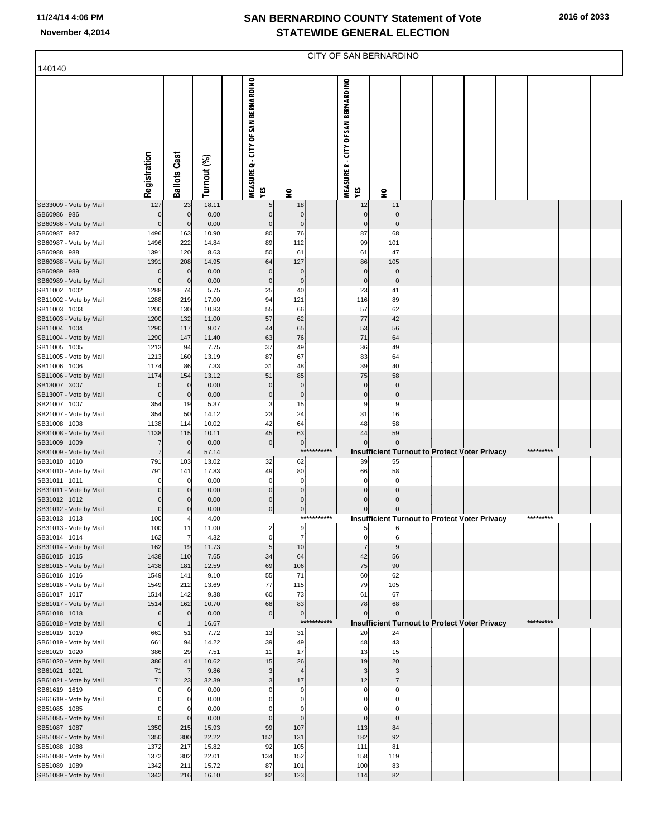| 2016 of 2033 |  |  |
|--------------|--|--|
|--------------|--|--|

| 140140                                 | CITY OF SAN BERNARDINO |                                  |                |  |                                           |                            |              |                                           |                            |  |  |                                                      |  |           |  |
|----------------------------------------|------------------------|----------------------------------|----------------|--|-------------------------------------------|----------------------------|--------------|-------------------------------------------|----------------------------|--|--|------------------------------------------------------|--|-----------|--|
|                                        | Registration           | <b>Ballots Cast</b>              | Turnout (%)    |  | MEASURE Q - CITY OF SAN BERNARDINO<br>YES | $\mathbf{S}$               |              | MEASURE R - CITY OF SAN BERNARDINO<br>YES | $\tilde{\mathbf{z}}$       |  |  |                                                      |  |           |  |
| SB33009 - Vote by Mail<br>SB60986 986  | 127<br>$\mathbf 0$     | 23<br>$\mathbf 0$                | 18.11<br>0.00  |  | $\mathbf 0$                               | 18<br>$\bf 0$              |              | 12<br>0                                   | 11<br>$\overline{0}$       |  |  |                                                      |  |           |  |
| SB60986 - Vote by Mail                 | $\mathbf 0$            | $\overline{0}$                   | 0.00           |  | $\mathbf 0$                               | $\mathbf 0$                |              | $\mathbf 0$                               | $\mathbf 0$                |  |  |                                                      |  |           |  |
| SB60987 987<br>SB60987 - Vote by Mail  | 1496<br>1496           | 163<br>222                       | 10.90<br>14.84 |  | 80<br>89                                  | 76<br>112                  |              | 87<br>99                                  | 68<br>101                  |  |  |                                                      |  |           |  |
| SB60988 988                            | 1391                   | 120                              | 8.63           |  | 50                                        | 61                         |              | 61                                        | 47                         |  |  |                                                      |  |           |  |
| SB60988 - Vote by Mail                 | 1391                   | 208                              | 14.95          |  | 64                                        | 127                        |              | 86                                        | 105                        |  |  |                                                      |  |           |  |
| SB60989 989<br>SB60989 - Vote by Mail  | 0<br>$\mathbf 0$       | $\overline{0}$<br>$\overline{0}$ | 0.00<br>0.00   |  | $\mathbf 0$<br>$\pmb{0}$                  | $\mathbf 0$<br>$\bf 0$     |              | $\mathbf 0$<br>$\mathbf 0$                | $\mathbf 0$<br>$\mathbf 0$ |  |  |                                                      |  |           |  |
| SB11002 1002                           | 1288                   | 74                               | 5.75           |  | 25                                        | 40                         |              | 23                                        | 41                         |  |  |                                                      |  |           |  |
| SB11002 - Vote by Mail                 | 1288                   | 219                              | 17.00          |  | 94                                        | 121                        |              | 116                                       | 89                         |  |  |                                                      |  |           |  |
| SB11003 1003                           | 1200                   | 130                              | 10.83          |  | 55                                        | 66                         |              | 57                                        | 62                         |  |  |                                                      |  |           |  |
| SB11003 - Vote by Mail<br>SB11004 1004 | 1200<br>1290           | 132<br>117                       | 11.00<br>9.07  |  | 57<br>44                                  | 62<br>65                   |              | 77<br>53                                  | 42<br>56                   |  |  |                                                      |  |           |  |
| SB11004 - Vote by Mail                 | 1290                   | 147                              | 11.40          |  | 63                                        | 76                         |              | 71                                        | 64                         |  |  |                                                      |  |           |  |
| SB11005 1005                           | 1213                   | 94                               | 7.75           |  | 37                                        | 49                         |              | 36                                        | 49                         |  |  |                                                      |  |           |  |
| SB11005 - Vote by Mail<br>SB11006 1006 | 1213<br>1174           | 160<br>86                        | 13.19<br>7.33  |  | 87<br>31                                  | 67<br>48                   |              | 83<br>39                                  | 64<br>40                   |  |  |                                                      |  |           |  |
| SB11006 - Vote by Mail                 | 1174                   | 154                              | 13.12          |  | 51                                        | 85                         |              | 75                                        | 58                         |  |  |                                                      |  |           |  |
| SB13007 3007                           | 0                      | $\overline{0}$                   | 0.00           |  | $\mathbf 0$                               | $\mathbf 0$                |              | $\Omega$                                  | $\mathbf 0$                |  |  |                                                      |  |           |  |
| SB13007 - Vote by Mail                 | 0                      | $\overline{0}$                   | 0.00           |  | $\pmb{0}$                                 | $\pmb{0}$                  |              | 0                                         | $\mathbf 0$                |  |  |                                                      |  |           |  |
| SB21007 1007<br>SB21007 - Vote by Mail | 354<br>354             | 19<br>50                         | 5.37<br>14.12  |  | 3<br>23                                   | 15<br>24                   |              | S<br>31                                   | 9<br>16                    |  |  |                                                      |  |           |  |
| SB31008 1008                           | 1138                   | 114                              | 10.02          |  | 42                                        | 64                         |              | 48                                        | 58                         |  |  |                                                      |  |           |  |
| SB31008 - Vote by Mail                 | 1138                   | 115                              | 10.11          |  | 45                                        | 63                         |              | 44                                        | 59                         |  |  |                                                      |  |           |  |
| SB31009 1009<br>SB31009 - Vote by Mail | 7<br>7                 | $\overline{0}$                   | 0.00<br>57.14  |  | $\overline{0}$                            | $\overline{0}$             | ************ | 0                                         | $\pmb{0}$                  |  |  | <b>Insufficient Turnout to Protect Voter Privacy</b> |  | ********* |  |
| SB31010 1010                           | 791                    | 103                              | 13.02          |  | 32                                        | 62                         |              | 39                                        | 55                         |  |  |                                                      |  |           |  |
| SB31010 - Vote by Mail                 | 791                    | 141                              | 17.83          |  | 49                                        | 80                         |              | 66                                        | 58                         |  |  |                                                      |  |           |  |
| SB31011 1011                           |                        | 0                                | 0.00           |  | 0                                         | $\mathbf 0$                |              | C                                         | $\Omega$                   |  |  |                                                      |  |           |  |
| SB31011 - Vote by Mail<br>SB31012 1012 |                        | $\mathbf 0$<br>$\Omega$          | 0.00<br>0.00   |  | $\mathbf 0$<br>$\mathbf 0$                | $\bf 0$<br>$\mathbf 0$     |              |                                           | $\Omega$                   |  |  |                                                      |  |           |  |
| SB31012 - Vote by Mail                 | 0                      | $\mathbf 0$                      | 0.00           |  | $\pmb{0}$                                 | $\overline{0}$             |              |                                           |                            |  |  |                                                      |  |           |  |
| SB31013 1013                           | 100                    |                                  | 4.00           |  |                                           |                            | ***********  |                                           |                            |  |  | <b>Insufficient Turnout to Protect Voter Privacy</b> |  | ********* |  |
| SB31013 - Vote by Mail<br>SB31014 1014 | 100<br>162             | 11<br>$\overline{7}$             | 11.00<br>4.32  |  | $\mathbf 0$                               | $\overline{7}$             |              | 0                                         | 6                          |  |  |                                                      |  |           |  |
| SB31014 - Vote by Mail                 | 162                    | 19                               | 11.73          |  | $\sqrt{5}$                                | 10                         |              | $\overline{7}$                            | 9                          |  |  |                                                      |  |           |  |
| SB61015 1015                           | 1438                   | 110                              | 7.65           |  | 34                                        | 64                         |              | 42                                        | 56                         |  |  |                                                      |  |           |  |
| SB61015 - Vote by Mail<br>SB61016 1016 | 1438                   | 181                              | 12.59          |  | 69                                        | 106                        |              | 75                                        | 90                         |  |  |                                                      |  |           |  |
| SB61016 - Vote by Mail                 | 1549<br>1549           | 141<br>212                       | 9.10<br>13.69  |  | 55<br>77                                  | 71<br>115                  |              | 60<br>79                                  | 62<br>105                  |  |  |                                                      |  |           |  |
| SB61017 1017                           | 1514                   | 142                              | 9.38           |  | 60                                        | 73                         |              | 61                                        | 67                         |  |  |                                                      |  |           |  |
| SB61017 - Vote by Mail                 | 1514                   | 162                              | 10.70          |  | 68                                        | 83                         |              | 78                                        | 68                         |  |  |                                                      |  |           |  |
| SB61018 1018<br>SB61018 - Vote by Mail | 6<br>6                 | $\overline{0}$<br>$\overline{1}$ | 0.00<br>16.67  |  | $\overline{0}$                            | 0                          | ***********  | $\mathbf 0$                               | $\overline{0}$             |  |  | <b>Insufficient Turnout to Protect Voter Privacy</b> |  | ********* |  |
| SB61019 1019                           | 661                    | 51                               | 7.72           |  | 13                                        | 31                         |              | 20                                        | 24                         |  |  |                                                      |  |           |  |
| SB61019 - Vote by Mail                 | 661                    | 94                               | 14.22          |  | 39                                        | 49                         |              | 48                                        | 43                         |  |  |                                                      |  |           |  |
| SB61020 1020<br>SB61020 - Vote by Mail | 386<br>386             | 29<br>41                         | 7.51<br>10.62  |  | 11<br>15                                  | 17<br>26                   |              | 13<br>19                                  | 15<br>20                   |  |  |                                                      |  |           |  |
| SB61021 1021                           | 71                     | $\overline{7}$                   | 9.86           |  | 3                                         | $\overline{4}$             |              | 3                                         | 3                          |  |  |                                                      |  |           |  |
| SB61021 - Vote by Mail                 | 71                     | 23                               | 32.39          |  | 3                                         | 17                         |              | 12                                        | $\overline{7}$             |  |  |                                                      |  |           |  |
| SB61619 1619                           | $\Omega$               | $\mathbf 0$                      | 0.00           |  |                                           | $\mathbf 0$                |              | $\Omega$                                  | $\Omega$                   |  |  |                                                      |  |           |  |
| SB61619 - Vote by Mail<br>SB51085 1085 | 0                      | 0                                | 0.00<br>0.00   |  | 0                                         | $\mathbf 0$<br>$\mathbf 0$ |              | C                                         | 0<br>$\Omega$              |  |  |                                                      |  |           |  |
| SB51085 - Vote by Mail                 | $\mathbf 0$            | $\overline{0}$                   | 0.00           |  | $\mathbf 0$                               | $\mathbf 0$                |              | $\mathbf 0$                               | $\mathbf 0$                |  |  |                                                      |  |           |  |
| SB51087 1087                           | 1350                   | 215                              | 15.93          |  | 99                                        | 107                        |              | 113                                       | 84                         |  |  |                                                      |  |           |  |
| SB51087 - Vote by Mail                 | 1350                   | 300                              | 22.22          |  | 152                                       | 131                        |              | 182                                       | 92                         |  |  |                                                      |  |           |  |
| SB51088 1088<br>SB51088 - Vote by Mail | 1372<br>1372           | 217<br>302                       | 15.82<br>22.01 |  | 92<br>134                                 | 105<br>152                 |              | 111<br>158                                | 81<br>119                  |  |  |                                                      |  |           |  |
| SB51089 1089                           | 1342                   | 211                              | 15.72          |  | 87                                        | 101                        |              | 100                                       | 83                         |  |  |                                                      |  |           |  |
| SB51089 - Vote by Mail                 | 1342                   | 216                              | 16.10          |  | 82                                        | 123                        |              | 114                                       | 82                         |  |  |                                                      |  |           |  |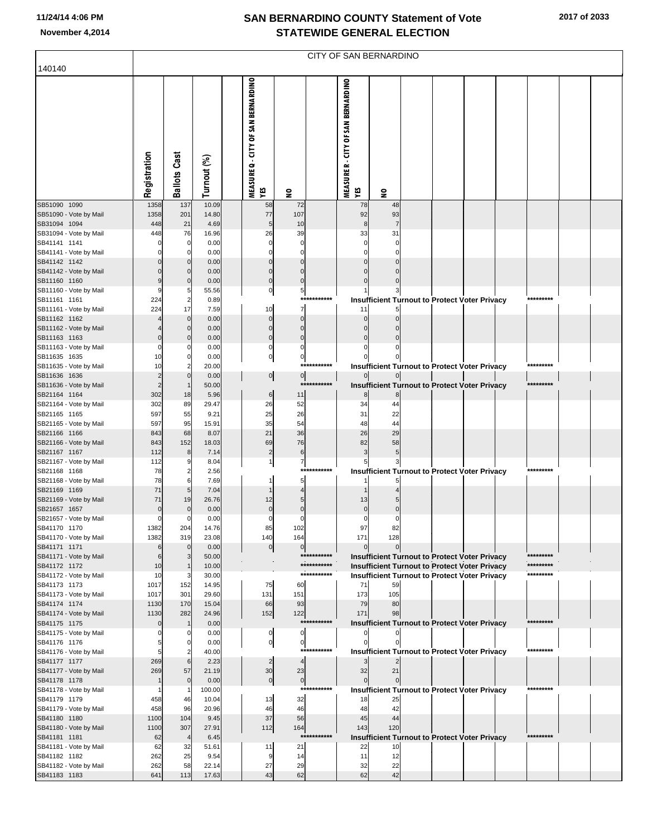|                                        | CITY OF SAN BERNARDINO |                      |                        |                                         |                               |                                           |              |                                                      |  |  |           |  |  |
|----------------------------------------|------------------------|----------------------|------------------------|-----------------------------------------|-------------------------------|-------------------------------------------|--------------|------------------------------------------------------|--|--|-----------|--|--|
| 140140                                 |                        |                      |                        |                                         |                               |                                           |              |                                                      |  |  |           |  |  |
|                                        | Registration           | <b>Ballots Cast</b>  | Turnout (%)            | MEASURE Q - CITY OF SAN BERNARDINO<br>χ | $\mathbf{S}$                  | MEASURE R - CITY OF SAN BERNARDINO<br>YES | $\mathbf{S}$ |                                                      |  |  |           |  |  |
| SB51090 1090                           | 1358                   | 137                  | 10.09                  | 58                                      | 72                            | 78                                        | 48           |                                                      |  |  |           |  |  |
| SB51090 - Vote by Mail<br>SB31094 1094 | 1358<br>448            | 201<br>21            | 14.80<br>4.69          | 77<br>5                                 | 107<br>10                     | 92<br>8                                   | 93           |                                                      |  |  |           |  |  |
| SB31094 - Vote by Mail                 | 448                    | 76                   | 16.96                  | 26                                      | 39                            | 33                                        | 31           |                                                      |  |  |           |  |  |
| SB41141 1141                           |                        | 0                    | 0.00                   |                                         | 0                             | $\mathbf 0$                               | $\Omega$     |                                                      |  |  |           |  |  |
| SB41141 - Vote by Mail                 |                        | 0                    | 0.00                   | 0                                       | 0                             | $\Omega$                                  | $\Omega$     |                                                      |  |  |           |  |  |
| SB41142 1142<br>SB41142 - Vote by Mail |                        | $\Omega$<br>$\Omega$ | 0.00<br>0.00           | $\Omega$                                | $\Omega$<br>$\mathbf 0$       | $\Omega$                                  |              |                                                      |  |  |           |  |  |
| SB11160 1160                           |                        | $\Omega$             | 0.00                   | $\mathbf 0$                             | 0                             | $\Omega$                                  |              |                                                      |  |  |           |  |  |
| SB11160 - Vote by Mail                 |                        | 5                    | 55.56                  | $\mathbf{0}$                            | 5                             |                                           | 3            |                                                      |  |  |           |  |  |
| SB11161 1161                           | 224                    | $\overline{2}$       | 0.89                   |                                         | ***********                   |                                           |              | <b>Insufficient Turnout to Protect Voter Privacy</b> |  |  | ********* |  |  |
| SB11161 - Vote by Mail<br>SB11162 1162 | 224                    | 17<br>$\mathbf 0$    | 7.59<br>0.00           | 10<br>$\Omega$                          | 7<br>$\overline{0}$           | 11<br>$\mathbf 0$                         | $\Omega$     |                                                      |  |  |           |  |  |
| SB11162 - Vote by Mail                 |                        | $\Omega$             | 0.00                   | $\mathbf 0$                             | $\mathbf 0$                   | $\Omega$                                  |              |                                                      |  |  |           |  |  |
| SB11163 1163                           |                        | $\Omega$             | 0.00                   | $\Omega$                                | $\overline{0}$                | $\Omega$                                  |              |                                                      |  |  |           |  |  |
| SB11163 - Vote by Mail                 |                        | 0                    | 0.00                   | 0                                       | 0                             |                                           |              |                                                      |  |  |           |  |  |
| SB11635 1635<br>SB11635 - Vote by Mail | 10<br>10               | $\Omega$             | 0.00<br>20.00          | $\mathsf{o}$                            | 0<br>***********              |                                           |              | <b>Insufficient Turnout to Protect Voter Privacy</b> |  |  | ********* |  |  |
| SB11636 1636                           |                        | $\Omega$             | 0.00                   | 이                                       | $\mathbf{0}$                  | $\overline{0}$                            | $\mathbf 0$  |                                                      |  |  |           |  |  |
| SB11636 - Vote by Mail                 | $\overline{2}$         |                      | 50.00                  |                                         | ***********                   |                                           |              | Insufficient Turnout to Protect Voter Privacy        |  |  | ********* |  |  |
| SB21164 1164                           | 302                    | 18                   | 5.96                   | 6                                       | 11                            | 8                                         |              |                                                      |  |  |           |  |  |
| SB21164 - Vote by Mail<br>SB21165 1165 | 302<br>597             | 89<br>55             | 29.47<br>$9.2^{\circ}$ | 26<br>25                                | 52<br>26                      | 34<br>31                                  | 44<br>22     |                                                      |  |  |           |  |  |
| SB21165 - Vote by Mail                 | 597                    | 95                   | 15.91                  | 35                                      | 54                            | 48                                        | 44           |                                                      |  |  |           |  |  |
| SB21166 1166                           | 843                    | 68                   | 8.07                   | 21                                      | 36                            | 26                                        | 29           |                                                      |  |  |           |  |  |
| SB21166 - Vote by Mail                 | 843                    | 152                  | 18.03                  | 69                                      | 76                            | 82                                        | 58           |                                                      |  |  |           |  |  |
| SB21167 1167<br>SB21167 - Vote by Mail | 112<br>112             | 8<br>9               | 7.14<br>8.04           | $\overline{2}$<br>1                     | $\,6$<br>7                    | $\mathsf 3$<br>5                          | 5<br>3       |                                                      |  |  |           |  |  |
| SB21168 1168                           | 78                     |                      | 2.56                   |                                         | ***********                   |                                           |              | <b>Insufficient Turnout to Protect Voter Privacy</b> |  |  | ********* |  |  |
| SB21168 - Vote by Mail                 | 78                     | 6                    | 7.69                   |                                         | 5                             |                                           |              |                                                      |  |  |           |  |  |
| SB21169 1169                           | 71                     | 5                    | 7.04                   |                                         |                               |                                           |              |                                                      |  |  |           |  |  |
| SB21169 - Vote by Mail<br>SB21657 1657 | 71<br>$\Omega$         | 19<br>$\Omega$       | 26.76<br>0.00          | 12<br>$\Omega$                          | 5<br>$\overline{0}$           | 13<br>$\mathbf 0$                         | $\Omega$     |                                                      |  |  |           |  |  |
| SB21657 - Vote by Mail                 | 0                      | 0                    | 0.00                   | 0                                       | 0                             | $\mathbf 0$                               | 0            |                                                      |  |  |           |  |  |
| SB41170 1170                           | 1382                   | 204                  | 14.76                  | 85                                      | 102                           | 97                                        | 82           |                                                      |  |  |           |  |  |
| SB41170 - Vote by Mail                 | 1382                   | 319                  | 23.08                  | 140                                     | 164                           | 171                                       | 128          |                                                      |  |  |           |  |  |
| SB41171 1171<br>SB41171 - Vote by Mail | 6<br>6                 | $\mathbf 0$<br>3     | 0.00<br>50.00          | 이                                       | 0<br>***********              | $\overline{0}$                            | 0            | <b>Insufficient Turnout to Protect Voter Privacy</b> |  |  | ********* |  |  |
| SB41172 1172                           | 10                     |                      | 10.00                  |                                         | ***********                   |                                           |              | <b>Insufficient Turnout to Protect Voter Privacy</b> |  |  | ********* |  |  |
| SB41172 - Vote by Mail                 | 10                     | 3                    | 30.00                  |                                         | ***********                   |                                           |              | <b>Insufficient Turnout to Protect Voter Privacy</b> |  |  | ********* |  |  |
| SB41173 1173                           | 1017                   | 152                  | 14.95                  | 75                                      | 60                            | 71                                        | 59           |                                                      |  |  |           |  |  |
| SB41173 - Vote by Mail<br>SB41174 1174 | 1017<br>1130           | 301<br>170           | 29.60<br>15.04         | 131<br>66                               | 151<br>93                     | 173<br>79                                 | 105<br>80    |                                                      |  |  |           |  |  |
| SB41174 - Vote by Mail                 | 1130                   | 282                  | 24.96                  | 152                                     | 122                           | 171                                       | 98           |                                                      |  |  |           |  |  |
| SB41175 1175                           | 0                      |                      | 0.00                   |                                         | ***********                   |                                           |              | <b>Insufficient Turnout to Protect Voter Privacy</b> |  |  | ********* |  |  |
| SB41175 - Vote by Mail                 | 0                      | 0                    | 0.00                   | 0                                       | 0                             | $\mathbf{0}$                              |              |                                                      |  |  |           |  |  |
| SB41176 1176<br>SB41176 - Vote by Mail | 5<br>5                 | 0<br>$\overline{2}$  | 0.00<br>40.00          | $\mathbf{0}$                            | $\overline{0}$<br>*********** |                                           |              | <b>Insufficient Turnout to Protect Voter Privacy</b> |  |  | ********* |  |  |
| SB41177 1177                           | 269                    | 6                    | 2.23                   | $\overline{2}$                          | $\overline{4}$                |                                           |              |                                                      |  |  |           |  |  |
| SB41177 - Vote by Mail                 | 269                    | 57                   | 21.19                  | 30                                      | 23                            | 32                                        | 21           |                                                      |  |  |           |  |  |
| SB41178 1178                           |                        | $\mathbf 0$          | 0.00                   | $\overline{0}$                          | $\overline{0}$<br>*********** | $\overline{0}$                            | $\mathbf 0$  |                                                      |  |  | ********* |  |  |
| SB41178 - Vote by Mail<br>SB41179 1179 | 458                    | 46                   | 100.00<br>10.04        | 13                                      | 32                            | 18                                        | 25           | Insufficient Turnout to Protect Voter Privacy        |  |  |           |  |  |
| SB41179 - Vote by Mail                 | 458                    | 96                   | 20.96                  | 46                                      | 46                            | 48                                        | 42           |                                                      |  |  |           |  |  |
| SB41180 1180                           | 1100                   | 104                  | 9.45                   | 37                                      | 56                            | 45                                        | 44           |                                                      |  |  |           |  |  |
| SB41180 - Vote by Mail                 | 1100                   | 307                  | 27.91                  | 112                                     | 164                           | 143                                       | 120          |                                                      |  |  |           |  |  |
| SB41181 1181<br>SB41181 - Vote by Mail | 62<br>62               | $\overline{4}$<br>32 | 6.45<br>51.61          | 11                                      | ***********<br>21             | 22                                        | 10           | <b>Insufficient Turnout to Protect Voter Privacy</b> |  |  | ********* |  |  |
| SB41182 1182                           | 262                    | 25                   | 9.54                   | 9                                       | 14                            | 11                                        | 12           |                                                      |  |  |           |  |  |
| SB41182 - Vote by Mail                 | 262                    | 58                   | 22.14                  | 27                                      | 29                            | 32                                        | 22           |                                                      |  |  |           |  |  |
| SB41183 1183                           | 641                    | 113                  | 17.63                  | 43                                      | 62                            | 62                                        | 42           |                                                      |  |  |           |  |  |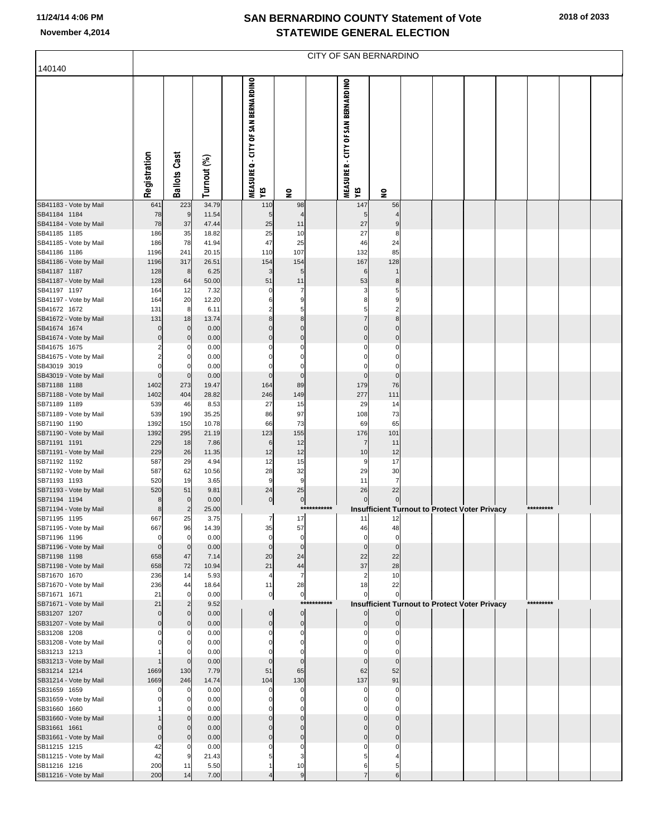|  |  | 2018 of 2033 |
|--|--|--------------|
|--|--|--------------|

|                                        | CITY OF SAN BERNARDINO |                               |                |                                           |                      |                          |         |                                                  |                              |  |  |                                                      |  |           |  |
|----------------------------------------|------------------------|-------------------------------|----------------|-------------------------------------------|----------------------|--------------------------|---------|--------------------------------------------------|------------------------------|--|--|------------------------------------------------------|--|-----------|--|
| 140140                                 |                        |                               |                |                                           |                      |                          |         |                                                  |                              |  |  |                                                      |  |           |  |
|                                        | Registration           | <b>Ballots Cast</b>           | Turnout (%)    | <b>MEASURE Q - CITY OF SAN BERNARDINO</b> | ΥÉS                  | $\mathbf{S}$             |         | <b>MEASURE R - CITY OF SAN BERNARDINO</b><br>YÉS | $\mathbf{S}$                 |  |  |                                                      |  |           |  |
| SB41183 - Vote by Mail                 | 641                    | 223                           | 34.79          |                                           | 110                  | 98                       |         | 147                                              | 56                           |  |  |                                                      |  |           |  |
| SB41184 1184<br>SB41184 - Vote by Mail | 78<br>78               | 9<br>37                       | 11.54<br>47.44 |                                           | 5<br>25              | 11                       |         | 5<br>27                                          | 9                            |  |  |                                                      |  |           |  |
| SB41185 1185                           | 186                    | 35                            | 18.82          |                                           | 25                   | 10                       |         | 27                                               | 8                            |  |  |                                                      |  |           |  |
| SB41185 - Vote by Mail                 | 186                    | 78                            | 41.94          |                                           | 47                   | 25                       |         | 46                                               | 24                           |  |  |                                                      |  |           |  |
| SB41186 1186                           | 1196                   | 241                           | 20.15          |                                           | 110                  | 107                      |         | 132                                              | 85                           |  |  |                                                      |  |           |  |
| SB41186 - Vote by Mail<br>SB41187 1187 | 1196<br>128            | 317<br>8                      | 26.51<br>6.25  |                                           | 154<br>3             | 154<br>5                 |         | 167<br>6                                         | 128                          |  |  |                                                      |  |           |  |
| SB41187 - Vote by Mail                 | 128                    | 64                            | 50.00          |                                           | 51                   | 11                       |         | 53                                               | 8                            |  |  |                                                      |  |           |  |
| SB41197 1197                           | 164                    | 12                            | 7.32           |                                           | 0                    | 7                        |         | 3                                                | 5                            |  |  |                                                      |  |           |  |
| SB41197 - Vote by Mail                 | 164                    | 20                            | 12.20          |                                           |                      | 9                        |         | 8                                                | 9                            |  |  |                                                      |  |           |  |
| SB41672 1672                           | 131                    | 8                             | 6.11           |                                           | 2                    | 5                        |         | 5                                                | $\overline{\mathbf{c}}$<br>8 |  |  |                                                      |  |           |  |
| SB41672 - Vote by Mail<br>SB41674 1674 | 131                    | 18<br>$\mathbf 0$             | 13.74<br>0.00  |                                           | 8<br>$\Omega$        | 8<br>$\overline{0}$      |         | $\mathbf 0$                                      | $\overline{0}$               |  |  |                                                      |  |           |  |
| SB41674 - Vote by Mail                 | 0                      | $\mathbf 0$                   | 0.00           |                                           | $\mathbf 0$          | $\mathbf{0}$             |         | $\mathbf 0$                                      | $\mathbf 0$                  |  |  |                                                      |  |           |  |
| SB41675 1675                           | 2                      | 0                             | 0.00           |                                           |                      | 0                        |         | 0                                                | $\mathbf 0$                  |  |  |                                                      |  |           |  |
| SB41675 - Vote by Mail                 |                        | 0<br>$\Omega$                 | 0.00           |                                           |                      | 0<br>0                   |         | 0<br>$\mathbf 0$                                 | $\mathbf 0$<br>$\mathbf 0$   |  |  |                                                      |  |           |  |
| SB43019 3019<br>SB43019 - Vote by Mail |                        | $\mathbf 0$                   | 0.00<br>0.00   |                                           | 0                    | $\mathbf 0$              |         | $\pmb{0}$                                        | $\bf{0}$                     |  |  |                                                      |  |           |  |
| SB71188 1188                           | 1402                   | 273                           | 19.47          |                                           | 164                  | 89                       |         | 179                                              | 76                           |  |  |                                                      |  |           |  |
| SB71188 - Vote by Mail                 | 1402                   | 404                           | 28.82          |                                           | 246                  | 149                      |         | 277                                              | 111                          |  |  |                                                      |  |           |  |
| SB71189 1189<br>SB71189 - Vote by Mail | 539<br>539             | 46<br>190                     | 8.53<br>35.25  |                                           | 27<br>86             | 15<br>97                 |         | 29<br>108                                        | 14<br>73                     |  |  |                                                      |  |           |  |
| SB71190 1190                           | 1392                   | 150                           | 10.78          |                                           | 66                   | 73                       |         | 69                                               | 65                           |  |  |                                                      |  |           |  |
| SB71190 - Vote by Mail                 | 1392                   | 295                           | 21.19          |                                           | 123                  | 155                      |         | 176                                              | 101                          |  |  |                                                      |  |           |  |
| SB71191 1191                           | 229                    | 18                            | 7.86           |                                           | 6                    | 12                       |         | $\overline{7}$                                   | 11                           |  |  |                                                      |  |           |  |
| SB71191 - Vote by Mail<br>SB71192 1192 | 229<br>587             | 26<br>29                      | 11.35<br>4.94  |                                           | 12<br>12             | 12<br>15                 |         | 10<br>9                                          | 12<br>17                     |  |  |                                                      |  |           |  |
| SB71192 - Vote by Mail                 | 587                    | 62                            | 10.56          |                                           | 28                   | 32                       |         | 29                                               | 30                           |  |  |                                                      |  |           |  |
| SB71193 1193                           | 520                    | 19                            | 3.65           |                                           | 9                    | $\boldsymbol{9}$         |         | 11                                               | $\overline{7}$               |  |  |                                                      |  |           |  |
| SB71193 - Vote by Mail                 | 520                    | 51                            | 9.81           |                                           | 24                   | 25                       |         | 26                                               | 22                           |  |  |                                                      |  |           |  |
| SB71194 1194<br>SB71194 - Vote by Mail | 8<br>8                 | $\mathbf 0$<br>$\overline{2}$ | 0.00<br>25.00  |                                           | $\overline{0}$       | $\pmb{0}$<br>****        |         | $\mathbf 0$                                      | $\overline{0}$               |  |  | Insufficient Turnout to Protect Voter Privacy        |  | ********* |  |
| SB71195 1195                           | 667                    | 25                            | 3.75           |                                           | $\overline{z}$       | 17                       |         | 11                                               | 12                           |  |  |                                                      |  |           |  |
| SB71195 - Vote by Mail                 | 667                    | 96                            | 14.39          |                                           | 35                   | 57                       |         | 46                                               | 48                           |  |  |                                                      |  |           |  |
| SB71196 1196                           | $\Omega$               | $\mathbf 0$                   | 0.00           |                                           | 0                    | $\mathbf 0$              |         | $\mathbf 0$                                      | $\mathbf 0$                  |  |  |                                                      |  |           |  |
| SB71196 - Vote by Mail<br>SB71198 1198 | $\mathbf 0$<br>658     | $\mathbf 0$<br>47             | 0.00<br>7.14   |                                           | $\mathbf 0$<br>20    | $\mathbf 0$<br>24        |         | $\pmb{0}$<br>22                                  | $\mathbf 0$<br>22            |  |  |                                                      |  |           |  |
| SB71198 - Vote by Mail                 | 658                    | 72                            | 10.94          |                                           | 21                   | 44                       |         | 37                                               | 28                           |  |  |                                                      |  |           |  |
| SB71670 1670                           | 236                    | 14                            | 5.93           |                                           |                      | 7                        |         | $\overline{\mathbf{c}}$                          | 10                           |  |  |                                                      |  |           |  |
| SB71670 - Vote by Mail<br>SB71671 1671 | 236<br>21              | 44<br>$\overline{0}$          | 18.64<br>0.00  |                                           | 11<br>$\overline{0}$ | 28<br>$\pmb{0}$          |         | 18<br>$\mathbf 0$                                | 22<br>$\mathbf 0$            |  |  |                                                      |  |           |  |
| SB71671 - Vote by Mail                 | 21                     | $\overline{2}$                | 9.52           |                                           |                      | ****                     | ******* |                                                  |                              |  |  | <b>Insufficient Turnout to Protect Voter Privacy</b> |  | ********* |  |
| SB31207 1207                           | $\Omega$               | $\overline{0}$                | 0.00           |                                           | $\overline{0}$       | $\overline{0}$           |         |                                                  |                              |  |  |                                                      |  |           |  |
| SB31207 - Vote by Mail                 | 0                      | $\mathbf 0$                   | 0.00           |                                           | $\overline{0}$       | $\overline{0}$           |         | $\mathbf 0$                                      | $\mathbf 0$                  |  |  |                                                      |  |           |  |
| SB31208 1208<br>SB31208 - Vote by Mail |                        | 0<br>0                        | 0.00<br>0.00   |                                           | 0                    | 0<br>0                   |         | 0<br>0                                           | 0<br>0                       |  |  |                                                      |  |           |  |
| SB31213 1213                           |                        | 0                             | 0.00           |                                           |                      | 0                        |         | $\mathbf 0$                                      | $\mathbf 0$                  |  |  |                                                      |  |           |  |
| SB31213 - Vote by Mail                 |                        | $\mathbf 0$                   | 0.00           |                                           | $\mathbf 0$          | $\mathbf 0$              |         | $\mathbf 0$                                      | $\mathbf 0$                  |  |  |                                                      |  |           |  |
| SB31214 1214                           | 1669                   | 130                           | 7.79           |                                           | 51                   | 65                       |         | 62                                               | 52                           |  |  |                                                      |  |           |  |
| SB31214 - Vote by Mail<br>SB31659 1659 | 1669                   | 246<br>0                      | 14.74<br>0.00  |                                           | 104<br>0             | 130<br>0                 |         | 137<br>0                                         | 91<br>0                      |  |  |                                                      |  |           |  |
| SB31659 - Vote by Mail                 |                        | 0                             | 0.00           |                                           |                      | 0                        |         | $\mathbf 0$                                      | 0                            |  |  |                                                      |  |           |  |
| SB31660 1660                           |                        | $\Omega$                      | 0.00           |                                           | 0                    | 0                        |         | $\mathbf 0$                                      | $\mathbf 0$                  |  |  |                                                      |  |           |  |
| SB31660 - Vote by Mail                 |                        | 0                             | 0.00           |                                           | $\Omega$             | $\mathbf 0$              |         | $\mathbf 0$                                      | $\mathbf 0$                  |  |  |                                                      |  |           |  |
| SB31661 1661<br>SB31661 - Vote by Mail | 0                      | $\mathbf 0$<br>$\mathbf 0$    | 0.00<br>0.00   |                                           | $\Omega$<br>$\Omega$ | $\mathbf 0$<br>$\pmb{0}$ |         | $\mathbf 0$<br>$\mathbf 0$                       | $\mathbf 0$<br>$\bf{0}$      |  |  |                                                      |  |           |  |
| SB11215 1215                           | 42                     | 0                             | 0.00           |                                           |                      | 0                        |         | $\mathbf 0$                                      | $\Omega$                     |  |  |                                                      |  |           |  |
| SB11215 - Vote by Mail                 | 42                     | 9                             | 21.43          |                                           |                      | 3                        |         | 5                                                |                              |  |  |                                                      |  |           |  |
| SB11216 1216                           | 200                    | 11                            | 5.50           |                                           |                      | 10                       |         | 6<br>$\overline{7}$                              | 5                            |  |  |                                                      |  |           |  |
| SB11216 - Vote by Mail                 | 200                    | 14                            | 7.00           |                                           |                      | 9                        |         |                                                  | $\,6$                        |  |  |                                                      |  |           |  |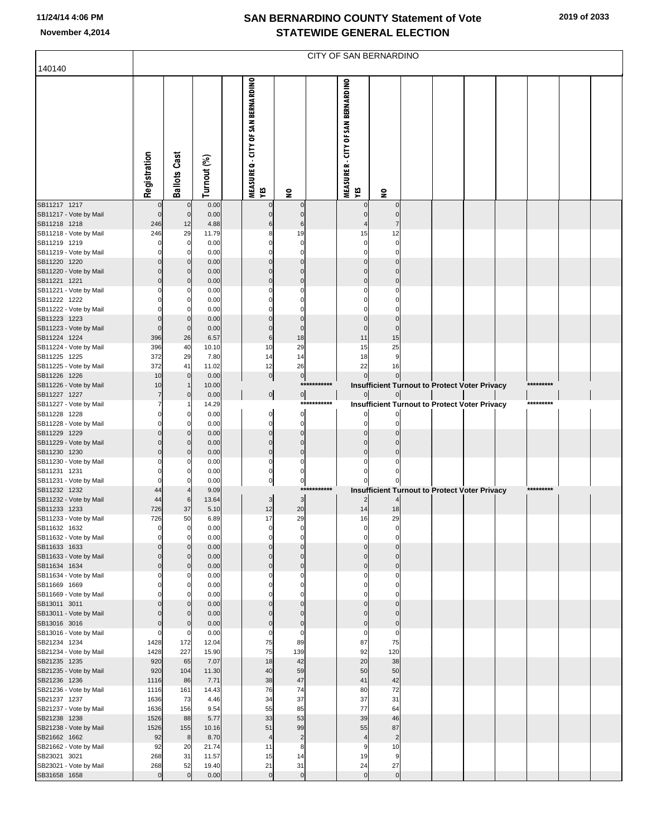| 2019 of 2033 |  |
|--------------|--|
|--------------|--|

|                                        | CITY OF SAN BERNARDINO |                               |               |  |                                           |                                  |             |                                          |                      |  |  |                                                      |  |           |  |
|----------------------------------------|------------------------|-------------------------------|---------------|--|-------------------------------------------|----------------------------------|-------------|------------------------------------------|----------------------|--|--|------------------------------------------------------|--|-----------|--|
| 140140                                 |                        |                               |               |  |                                           |                                  |             |                                          |                      |  |  |                                                      |  |           |  |
|                                        | Registration           | <b>Ballots Cast</b>           | Turnout (%)   |  | MEASURE Q - CITY OF SAN BERNARDINO<br>YES | $\mathbf{S}$                     |             | MEASURE R - CITY OF SAN BERNARDINO<br>٧Ë | $\mathbf{S}$         |  |  |                                                      |  |           |  |
| SB11217 1217                           |                        | $\mathbf 0$                   | 0.00          |  |                                           | $\Omega$                         |             |                                          |                      |  |  |                                                      |  |           |  |
| SB11217 - Vote by Mail                 |                        | $\mathbf 0$                   | 0.00          |  |                                           |                                  |             |                                          |                      |  |  |                                                      |  |           |  |
| SB11218 1218<br>SB11218 - Vote by Mail | 246<br>246             | 12<br>29                      | 4.88<br>11.79 |  |                                           | 19                               |             | 15                                       | 12                   |  |  |                                                      |  |           |  |
| SB11219 1219                           |                        | $\mathbf 0$                   | 0.00          |  |                                           | 0                                |             | 0                                        | $\Omega$             |  |  |                                                      |  |           |  |
| SB11219 - Vote by Mail                 |                        | $\mathbf 0$                   | 0.00          |  |                                           | O                                |             |                                          | n                    |  |  |                                                      |  |           |  |
| SB11220 1220                           |                        | $\Omega$                      | 0.00          |  |                                           |                                  |             |                                          |                      |  |  |                                                      |  |           |  |
| SB11220 - Vote by Mail<br>SB11221 1221 |                        | $\Omega$<br>$\Omega$          | 0.00<br>0.00  |  |                                           | U                                |             |                                          |                      |  |  |                                                      |  |           |  |
| SB11221 - Vote by Mail                 |                        | 0                             | 0.00          |  |                                           | 0                                |             |                                          |                      |  |  |                                                      |  |           |  |
| SB11222 1222                           |                        | $\Omega$                      | 0.00          |  |                                           |                                  |             |                                          |                      |  |  |                                                      |  |           |  |
| SB11222 - Vote by Mail                 |                        | $\Omega$                      | 0.00          |  |                                           |                                  |             |                                          |                      |  |  |                                                      |  |           |  |
| SB11223 1223                           |                        | $\Omega$                      | 0.00          |  |                                           |                                  |             |                                          |                      |  |  |                                                      |  |           |  |
| SB11223 - Vote by Mail<br>SB11224 1224 | 396                    | $\mathbf 0$<br>26             | 0.00<br>6.57  |  | 6                                         | $\Omega$<br>18                   |             | 11                                       | 15                   |  |  |                                                      |  |           |  |
| SB11224 - Vote by Mail                 | 396                    | 40                            | 10.10         |  | 10                                        | 29                               |             | 15                                       | 25                   |  |  |                                                      |  |           |  |
| SB11225 1225                           | 372                    | 29                            | 7.80          |  | 14                                        | 14                               |             | 18                                       | 9                    |  |  |                                                      |  |           |  |
| SB11225 - Vote by Mail                 | 372                    | 41                            | 11.02         |  | 12                                        | 26                               |             | 22                                       | 16                   |  |  |                                                      |  |           |  |
| SB11226 1226                           | 10                     | $\mathbf 0$                   | 0.00          |  | $\overline{0}$                            | $\overline{0}$                   | *********** | $\Omega$                                 |                      |  |  |                                                      |  | ********* |  |
| SB11226 - Vote by Mail<br>SB11227 1227 | 10                     | $\overline{1}$<br>$\mathbf 0$ | 10.00<br>0.00 |  | $\overline{0}$                            | $\overline{0}$                   |             |                                          |                      |  |  | Insufficient Turnout to Protect Voter Privacy        |  |           |  |
| SB11227 - Vote by Mail                 |                        |                               | 14.29         |  |                                           |                                  | *********** |                                          |                      |  |  | <b>Insufficient Turnout to Protect Voter Privacy</b> |  | ********* |  |
| SB11228 1228                           |                        | $\Omega$                      | 0.00          |  | O                                         | 0                                |             |                                          |                      |  |  |                                                      |  |           |  |
| SB11228 - Vote by Mail                 |                        | $\mathbf 0$                   | 0.00          |  | O                                         | $\Omega$                         |             |                                          |                      |  |  |                                                      |  |           |  |
| SB11229 1229<br>SB11229 - Vote by Mail |                        | $\Omega$<br>$\Omega$          | 0.00<br>0.00  |  |                                           | ŋ                                |             |                                          |                      |  |  |                                                      |  |           |  |
| SB11230 1230                           |                        | $\Omega$                      | 0.00          |  | ŋ                                         | $\Omega$                         |             |                                          |                      |  |  |                                                      |  |           |  |
| SB11230 - Vote by Mail                 |                        | O                             | 0.00          |  | 0                                         | 0                                |             |                                          |                      |  |  |                                                      |  |           |  |
| SB11231 1231                           |                        |                               | 0.00          |  | 0                                         | $\Omega$                         |             |                                          |                      |  |  |                                                      |  |           |  |
| SB11231 - Vote by Mail<br>SB11232 1232 | 44                     | $\Omega$                      | 0.00<br>9.09  |  | $\mathbf{0}$                              | 0<br>****                        | *******     |                                          |                      |  |  | Insufficient Turnout to Protect Voter Privacy        |  | ********* |  |
| SB11232 - Vote by Mail                 | 44                     | 6                             | 13.64         |  | 3                                         | $\overline{\mathbf{3}}$          |             |                                          |                      |  |  |                                                      |  |           |  |
| SB11233 1233                           | 726                    | 37                            | 5.10          |  | 12                                        | 20                               |             | 14                                       | 18                   |  |  |                                                      |  |           |  |
| SB11233 - Vote by Mail                 | 726                    | 50                            | 6.89          |  | 17                                        | 29                               |             | 16                                       | 29                   |  |  |                                                      |  |           |  |
| SB11632 1632                           |                        | 0<br>$\mathbf 0$              | 0.00<br>0.00  |  |                                           | O                                |             | ŋ                                        | n                    |  |  |                                                      |  |           |  |
| SB11632 - Vote by Mail<br>SB11633 1633 |                        | $\Omega$                      | 0.00          |  |                                           |                                  |             |                                          |                      |  |  |                                                      |  |           |  |
| SB11633 - Vote by Mail                 |                        | $\mathbf 0$                   | 0.00          |  | ŋ                                         | $\Omega$                         |             | $\Omega$                                 | $\Omega$             |  |  |                                                      |  |           |  |
| SB11634 1634                           |                        | $\mathbf 0$                   | 0.00          |  | $\Omega$                                  | $\Omega$                         |             | $\overline{0}$                           | $\Omega$             |  |  |                                                      |  |           |  |
| SB11634 - Vote by Mail                 |                        | 0                             | 0.00          |  | O                                         | 0                                |             | 0                                        | 0                    |  |  |                                                      |  |           |  |
| SB11669 1669<br>SB11669 - Vote by Mail |                        | $\mathbf 0$<br>$\mathbf 0$    | 0.00<br>0.00  |  | O                                         | $\Omega$<br>$\Omega$             |             | n<br>n                                   | $\Omega$<br>O        |  |  |                                                      |  |           |  |
| SB13011 3011                           |                        | $\Omega$                      | 0.00          |  |                                           | ŋ                                |             | U                                        |                      |  |  |                                                      |  |           |  |
| SB13011 - Vote by Mail                 |                        | $\mathbf 0$                   | 0.00          |  |                                           | $\Omega$                         |             | U                                        | $\Omega$             |  |  |                                                      |  |           |  |
| SB13016 3016                           |                        | $\mathbf 0$                   | 0.00          |  | $\Omega$                                  | $\mathbf 0$                      |             | U                                        | $\mathbf 0$          |  |  |                                                      |  |           |  |
| SB13016 - Vote by Mail<br>SB21234 1234 | 1428                   | $\mathbf 0$<br>172            | 0.00<br>12.04 |  | 0<br>75                                   | $\overline{0}$<br>89             |             | 0<br>87                                  | $\overline{0}$<br>75 |  |  |                                                      |  |           |  |
| SB21234 - Vote by Mail                 | 1428                   | 227                           | 15.90         |  | 75                                        | 139                              |             | 92                                       | 120                  |  |  |                                                      |  |           |  |
| SB21235 1235                           | 920                    | 65                            | 7.07          |  | 18                                        | 42                               |             | 20                                       | 38                   |  |  |                                                      |  |           |  |
| SB21235 - Vote by Mail                 | 920                    | 104                           | 11.30         |  | 40                                        | 59                               |             | 50                                       | 50                   |  |  |                                                      |  |           |  |
| SB21236 1236<br>SB21236 - Vote by Mail | 1116<br>1116           | 86<br>161                     | 7.71<br>14.43 |  | 38<br>76                                  | 47<br>74                         |             | 41<br>80                                 | 42<br>72             |  |  |                                                      |  |           |  |
| SB21237 1237                           | 1636                   | 73                            | 4.46          |  | 34                                        | 37                               |             | 37                                       | 31                   |  |  |                                                      |  |           |  |
| SB21237 - Vote by Mail                 | 1636                   | 156                           | 9.54          |  | 55                                        | 85                               |             | 77                                       | 64                   |  |  |                                                      |  |           |  |
| SB21238 1238                           | 1526                   | 88                            | 5.77          |  | 33                                        | 53                               |             | 39                                       | 46                   |  |  |                                                      |  |           |  |
| SB21238 - Vote by Mail                 | 1526                   | 155                           | 10.16         |  | 51                                        | 99                               |             | 55                                       | 87                   |  |  |                                                      |  |           |  |
| SB21662 1662<br>SB21662 - Vote by Mail | 92<br>92               | $\,$ 8<br>20                  | 8.70<br>21.74 |  | $\overline{4}$<br>11                      | $\overline{2}$<br>8 <sup>1</sup> |             | $\overline{4}$<br>9                      | $\overline{2}$<br>10 |  |  |                                                      |  |           |  |
| SB23021 3021                           | 268                    | 31                            | 11.57         |  | 15                                        | 14                               |             | 19                                       | 9                    |  |  |                                                      |  |           |  |
| SB23021 - Vote by Mail                 | 268                    | 52                            | 19.40         |  | 21                                        | 31                               |             | 24                                       | 27                   |  |  |                                                      |  |           |  |
| SB31658 1658                           | $\Omega$               | $\mathbf 0$                   | 0.00          |  | $\mathbf 0$                               | $\overline{0}$                   |             | $\Omega$                                 | $\overline{0}$       |  |  |                                                      |  |           |  |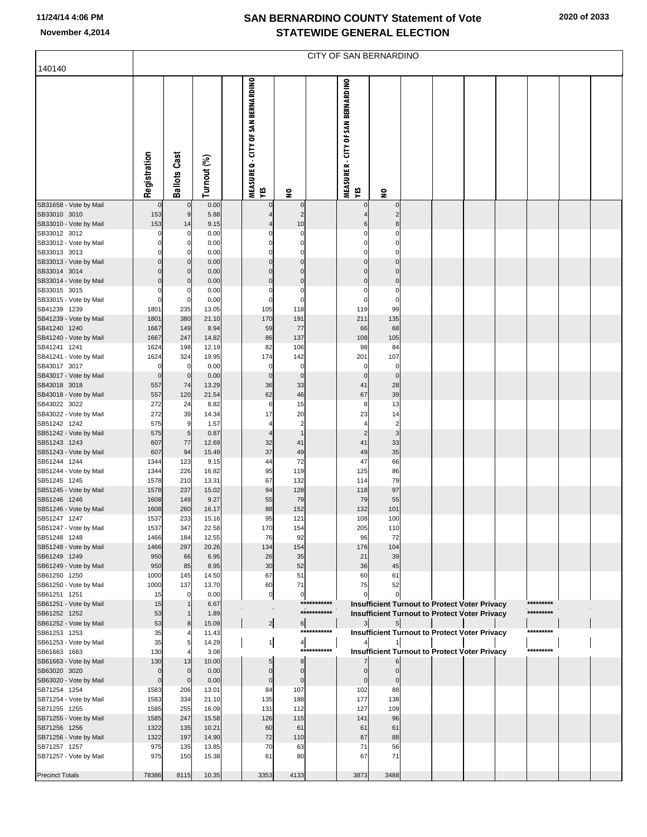| 2020 of 2033 |  |  |
|--------------|--|--|
|--------------|--|--|

| 140140                                 | CITY OF SAN BERNARDINO |                            |                |  |                                           |                                  |             |                                           |                |  |  |                                                      |  |           |  |
|----------------------------------------|------------------------|----------------------------|----------------|--|-------------------------------------------|----------------------------------|-------------|-------------------------------------------|----------------|--|--|------------------------------------------------------|--|-----------|--|
|                                        |                        |                            |                |  |                                           |                                  |             |                                           |                |  |  |                                                      |  |           |  |
|                                        | Registration           | <b>Ballots Cast</b>        | Turnout (%)    |  | MEASURE Q - CITY OF SAN BERNARDINO<br>YES | $\mathbf{S}$                     |             | MEASURE R - CITY OF SAN BERNARDINO<br>YES | $\mathbf{S}$   |  |  |                                                      |  |           |  |
| SB31658 - Vote by Mail                 | $\Omega$               | $\pmb{0}$                  | 0.00           |  |                                           | $\mathbf 0$                      |             | 0                                         | $\Omega$       |  |  |                                                      |  |           |  |
| SB33010 3010<br>SB33010 - Vote by Mail | 153<br>153             | $\boldsymbol{9}$<br>14     | 5.88<br>9.15   |  |                                           | 2<br>10                          |             | 6                                         | 2<br>8         |  |  |                                                      |  |           |  |
| SB33012 3012                           |                        | 0                          | 0.00           |  |                                           | 0                                |             | 0                                         | 0              |  |  |                                                      |  |           |  |
| SB33012 - Vote by Mail                 |                        | 0                          | 0.00           |  |                                           | $\Omega$                         |             | 0                                         | 0              |  |  |                                                      |  |           |  |
| SB33013 3013                           |                        | 0                          | 0.00           |  |                                           | $\Omega$                         |             | 0                                         | 0              |  |  |                                                      |  |           |  |
| SB33013 - Vote by Mail<br>SB33014 3014 |                        | $\mathbf 0$<br>$\mathbf 0$ | 0.00<br>0.00   |  |                                           | $\Omega$<br>$\Omega$             |             | 0                                         | $\Omega$<br>0  |  |  |                                                      |  |           |  |
| SB33014 - Vote by Mail                 |                        | $\mathbf 0$                | 0.00           |  |                                           | $\mathbf 0$                      |             | $\Omega$                                  | $\Omega$       |  |  |                                                      |  |           |  |
| SB33015 3015                           |                        | 0                          | 0.00           |  | 0                                         | 0                                |             | 0                                         | 0              |  |  |                                                      |  |           |  |
| SB33015 - Vote by Mail                 |                        | $\mathbf 0$                | 0.00           |  | $\Omega$                                  | $\Omega$                         |             | $\Omega$                                  | 0              |  |  |                                                      |  |           |  |
| SB41239 1239<br>SB41239 - Vote by Mail | 1801<br>1801           | 235<br>380                 | 13.05<br>21.10 |  | 105<br>170                                | 118<br>191                       |             | 119<br>211                                | 99<br>135      |  |  |                                                      |  |           |  |
| SB41240 1240                           | 1667                   | 149                        | 8.94           |  | 59                                        | 77                               |             | 66                                        | 68             |  |  |                                                      |  |           |  |
| SB41240 - Vote by Mail                 | 1667                   | 247                        | 14.82          |  | 86                                        | 137                              |             | 108                                       | 105            |  |  |                                                      |  |           |  |
| SB41241 1241                           | 1624                   | 198                        | 12.19          |  | 82                                        | 106                              |             | 98                                        | 84             |  |  |                                                      |  |           |  |
| SB41241 - Vote by Mail<br>SB43017 3017 | 1624                   | 324<br>$\mathbf 0$         | 19.95<br>0.00  |  | 174<br>$\Omega$                           | 142<br>0                         |             | 201<br>0                                  | 107<br>0       |  |  |                                                      |  |           |  |
| SB43017 - Vote by Mail                 |                        | $\mathbf 0$                | 0.00           |  | $\mathbf{0}$                              | $\mathbf 0$                      |             | $\Omega$                                  | $\mathbf 0$    |  |  |                                                      |  |           |  |
| SB43018 3018                           | 557                    | 74                         | 13.29          |  | 36                                        | 33                               |             | 41                                        | 28             |  |  |                                                      |  |           |  |
| SB43018 - Vote by Mail                 | 557                    | 120                        | 21.54          |  | 62                                        | 46                               |             | 67                                        | 39             |  |  |                                                      |  |           |  |
| SB43022 3022<br>SB43022 - Vote by Mail | 272<br>272             | 24<br>39                   | 8.82<br>14.34  |  | 6<br>17                                   | 15<br>20                         |             | 8<br>23                                   | 13<br>14       |  |  |                                                      |  |           |  |
| SB51242 1242                           | 575                    | 9                          | 1.57           |  |                                           | $\overline{c}$                   |             | 4                                         | $\overline{c}$ |  |  |                                                      |  |           |  |
| SB51242 - Vote by Mail                 | 575                    | 5                          | 0.87           |  |                                           | $\mathbf{1}$                     |             | $\overline{2}$                            | 3              |  |  |                                                      |  |           |  |
| SB51243 1243                           | 607                    | 77                         | 12.69          |  | 32                                        | 41                               |             | 41                                        | 33             |  |  |                                                      |  |           |  |
| SB51243 - Vote by Mail<br>SB51244 1244 | 607<br>1344            | 94<br>123                  | 15.49<br>9.15  |  | 37<br>44                                  | 49<br>72                         |             | 49<br>47                                  | 35<br>66       |  |  |                                                      |  |           |  |
| SB51244 - Vote by Mail                 | 1344                   | 226                        | 16.82          |  | 95                                        | 119                              |             | 125                                       | 86             |  |  |                                                      |  |           |  |
| SB51245 1245                           | 1578                   | 210                        | 13.31          |  | 67                                        | 132                              |             | 114                                       | 79             |  |  |                                                      |  |           |  |
| SB51245 - Vote by Mail                 | 1578                   | 237                        | 15.02          |  | 94                                        | 128                              |             | 118                                       | 97             |  |  |                                                      |  |           |  |
| SB51246 1246<br>SB51246 - Vote by Mail | 1608<br>1608           | 149<br>260                 | 9.27<br>16.17  |  | 55<br>88                                  | 79<br>152                        |             | 79<br>132                                 | 55<br>101      |  |  |                                                      |  |           |  |
| SB51247 1247                           | 1537                   | 233                        | 15.16          |  | 95                                        | 121                              |             | 108                                       | 100            |  |  |                                                      |  |           |  |
| SB51247 - Vote by Mail                 | 1537                   | 347                        | 22.58          |  | 170                                       | 154                              |             | 205                                       | 110            |  |  |                                                      |  |           |  |
| SB51248 1248<br>SB51248 - Vote by Mail | 1466<br>1466           | 184<br>297                 | 12.55<br>20.26 |  | 76<br>134                                 | 92<br>154                        |             | 96<br>176                                 | 72<br>104      |  |  |                                                      |  |           |  |
| SB61249 1249                           | 950                    | 66                         | 6.95           |  | 26                                        | 35                               |             | 21                                        | 39             |  |  |                                                      |  |           |  |
| SB61249 - Vote by Mail                 | 950                    | 85                         | 8.95           |  | 30                                        | 52                               |             | 36                                        | 45             |  |  |                                                      |  |           |  |
| SB61250 1250                           | 1000                   | 145                        | 14.50          |  | 67                                        | 51                               |             | 60                                        | 61             |  |  |                                                      |  |           |  |
| SB61250 - Vote by Mail<br>SB61251 1251 | 1000<br>15             | 137<br>0                   | 13.70<br>0.00  |  | 60<br>$\overline{0}$                      | 71<br>$\overline{0}$             |             | 75<br>0                                   | 52<br>0        |  |  |                                                      |  |           |  |
| SB61251 - Vote by Mail                 | 15                     | $\mathbf{1}$               | 6.67           |  |                                           |                                  | *********** |                                           |                |  |  | Insufficient Turnout to Protect Voter Privacy        |  | ********* |  |
| SB61252 1252                           | 53                     | $\mathbf{1}$               | 1.89           |  |                                           |                                  | *********** |                                           |                |  |  | <b>Insufficient Turnout to Protect Voter Privacy</b> |  | ********* |  |
| SB61252 - Vote by Mail<br>SB61253 1253 | 53<br>35               | 8<br>4                     | 15.09<br>11.43 |  | $\mathbf{2}$                              | 6                                | *********** | $\frac{3}{2}$                             |                |  |  | <b>Insufficient Turnout to Protect Voter Privacy</b> |  | ********* |  |
| SB61253 - Vote by Mail                 | 35                     | 5                          | 14.29          |  | $\frac{1}{2}$                             | 4                                |             |                                           |                |  |  |                                                      |  |           |  |
| SB61663 1663                           | 130                    | $\overline{4}$             | 3.08           |  |                                           |                                  | *********** |                                           |                |  |  | <b>Insufficient Turnout to Protect Voter Privacy</b> |  | ********* |  |
| SB61663 - Vote by Mail                 | 130                    | 13                         | 10.00          |  | 5                                         | 8                                |             |                                           |                |  |  |                                                      |  |           |  |
| SB63020 3020<br>SB63020 - Vote by Mail | $\Omega$<br>$\Omega$   | $\mathbf 0$<br>$\mathbf 0$ | 0.00<br>0.00   |  | 0<br>$\overline{0}$                       | $\overline{0}$<br>$\overline{0}$ |             | 0<br>0                                    | 0<br>0         |  |  |                                                      |  |           |  |
| SB71254 1254                           | 1583                   | 206                        | 13.01          |  | 84                                        | 107                              |             | 102                                       | 88             |  |  |                                                      |  |           |  |
| SB71254 - Vote by Mail                 | 1583                   | 334                        | 21.10          |  | 135                                       | 188                              |             | 177                                       | 138            |  |  |                                                      |  |           |  |
| SB71255 1255                           | 1585                   | 255                        | 16.09          |  | 131                                       | 112                              |             | 127                                       | 109            |  |  |                                                      |  |           |  |
| SB71255 - Vote by Mail<br>SB71256 1256 | 1585<br>1322           | 247<br>135                 | 15.58<br>10.21 |  | 126<br>60                                 | 115<br>61                        |             | 141<br>61                                 | 96<br>61       |  |  |                                                      |  |           |  |
| SB71256 - Vote by Mail                 | 1322                   | 197                        | 14.90          |  | 72                                        | 110                              |             | 87                                        | 88             |  |  |                                                      |  |           |  |
| SB71257 1257                           | 975                    | 135                        | 13.85          |  | 70                                        | 63                               |             | 71                                        | 56             |  |  |                                                      |  |           |  |
| SB71257 - Vote by Mail                 | 975                    | 150                        | 15.38          |  | 61                                        | 80                               |             | 67                                        | 71             |  |  |                                                      |  |           |  |
| <b>Precinct Totals</b>                 | 78386                  | 8115                       | 10.35          |  | 3353                                      | 4133                             |             | 3873                                      | 3488           |  |  |                                                      |  |           |  |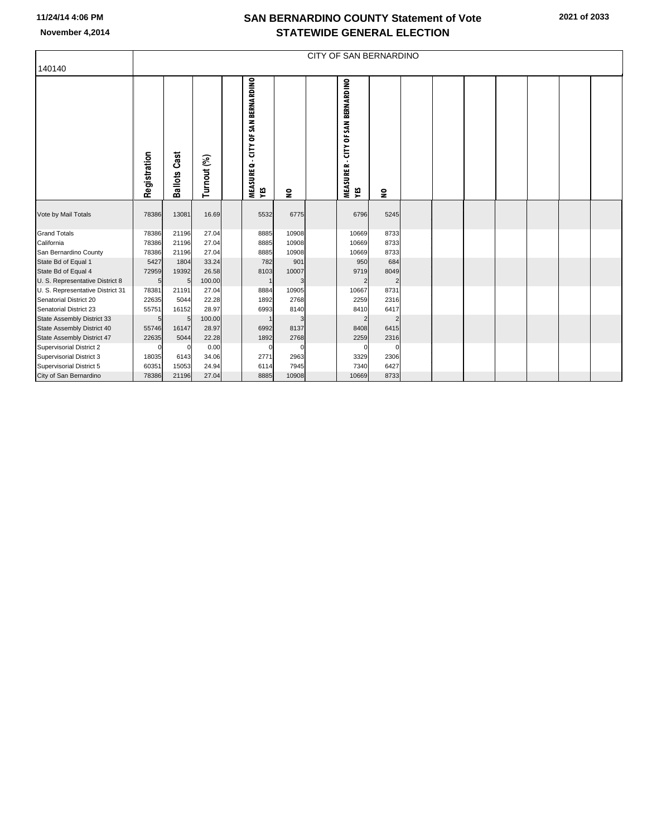|                                  |              | <b>CITY OF SAN BERNARDINO</b> |             |  |                                                |       |  |                                                                           |                |  |  |  |  |  |  |  |
|----------------------------------|--------------|-------------------------------|-------------|--|------------------------------------------------|-------|--|---------------------------------------------------------------------------|----------------|--|--|--|--|--|--|--|
| 140140                           |              |                               |             |  |                                                |       |  |                                                                           |                |  |  |  |  |  |  |  |
|                                  | Registration | Cast<br>Ballots               | Turnout (%) |  | - CITY OF SAN BERNARDINO<br>MEASURE Q -<br>Yes | 읖     |  | <b>CITY OF SAN BERNARDINO</b><br>$\blacksquare$<br><b>MEASURER</b><br>٧ÉS | ၟႍ             |  |  |  |  |  |  |  |
| Vote by Mail Totals              | 78386        | 13081                         | 16.69       |  | 5532                                           | 6775  |  | 6796                                                                      | 5245           |  |  |  |  |  |  |  |
| <b>Grand Totals</b>              | 78386        | 21196                         | 27.04       |  | 8885                                           | 10908 |  | 10669                                                                     | 8733           |  |  |  |  |  |  |  |
| California                       | 78386        | 21196                         | 27.04       |  | 8885                                           | 10908 |  | 10669                                                                     | 8733           |  |  |  |  |  |  |  |
| San Bernardino County            | 78386        | 21196                         | 27.04       |  | 8885                                           | 10908 |  | 10669                                                                     | 8733           |  |  |  |  |  |  |  |
| State Bd of Equal 1              | 5427         | 1804                          | 33.24       |  | 782                                            | 901   |  | 950                                                                       | 684            |  |  |  |  |  |  |  |
| State Bd of Equal 4              | 72959        | 19392                         | 26.58       |  | 8103                                           | 10007 |  | 9719                                                                      | 8049           |  |  |  |  |  |  |  |
| U. S. Representative District 8  | 5            | 5                             | 100.00      |  | 1                                              | 3     |  | $\overline{2}$                                                            | $\overline{c}$ |  |  |  |  |  |  |  |
| U. S. Representative District 31 | 78381        | 21191                         | 27.04       |  | 8884                                           | 10905 |  | 10667                                                                     | 8731           |  |  |  |  |  |  |  |
| Senatorial District 20           | 22635        | 5044                          | 22.28       |  | 1892                                           | 2768  |  | 2259                                                                      | 2316           |  |  |  |  |  |  |  |
| Senatorial District 23           | 55751        | 16152                         | 28.97       |  | 6993                                           | 8140  |  | 8410                                                                      | 6417           |  |  |  |  |  |  |  |
| State Assembly District 33       | 5            | 5                             | 100.00      |  |                                                |       |  | $\overline{2}$                                                            | $\overline{c}$ |  |  |  |  |  |  |  |
| State Assembly District 40       | 55746        | 16147                         | 28.97       |  | 6992                                           | 8137  |  | 8408                                                                      | 6415           |  |  |  |  |  |  |  |
| State Assembly District 47       | 22635        | 5044                          | 22.28       |  | 1892                                           | 2768  |  | 2259                                                                      | 2316           |  |  |  |  |  |  |  |
| Supervisorial District 2         |              | $\Omega$                      | 0.00        |  | 0                                              |       |  | $\Omega$                                                                  | $\mathbf 0$    |  |  |  |  |  |  |  |
| Supervisorial District 3         | 18035        | 6143                          | 34.06       |  | 2771                                           | 2963  |  | 3329                                                                      | 2306           |  |  |  |  |  |  |  |
| Supervisorial District 5         | 60351        | 15053                         | 24.94       |  | 6114                                           | 7945  |  | 7340                                                                      | 6427           |  |  |  |  |  |  |  |
| City of San Bernardino           | 78386        | 21196                         | 27.04       |  | 8885                                           | 10908 |  | 10669                                                                     | 8733           |  |  |  |  |  |  |  |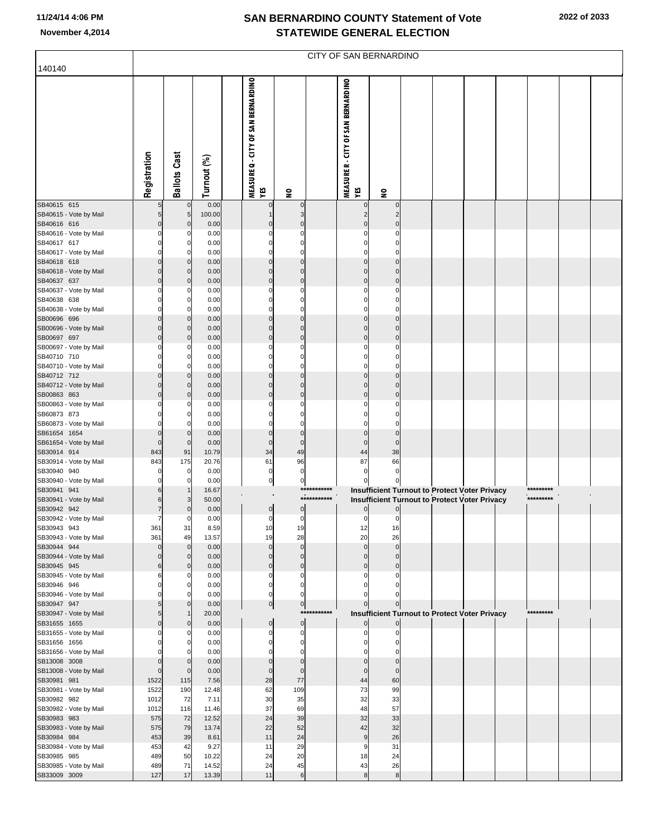**2022 of 2033**

| 140140                                 | CITY OF SAN BERNARDINO |                         |                |  |                                           |                             |             |                                           |                         |  |  |                                                      |  |           |  |
|----------------------------------------|------------------------|-------------------------|----------------|--|-------------------------------------------|-----------------------------|-------------|-------------------------------------------|-------------------------|--|--|------------------------------------------------------|--|-----------|--|
|                                        | Registration           | <b>Ballots Cast</b>     | Turnout (%)    |  | MEASURE Q - CITY OF SAN BERNARDINO<br>YES | 읖                           |             | MEASURE R - CITY OF SAN BERNARDINO<br>YES | $\mathbf{S}$            |  |  |                                                      |  |           |  |
| SB40615 615<br>SB40615 - Vote by Mail  | 5<br>5                 | $\mathbf 0$<br>5        | 0.00<br>100.00 |  | 0                                         | $\Omega$<br>3               |             |                                           | $\Omega$<br>2           |  |  |                                                      |  |           |  |
| SB40616 616<br>SB40616 - Vote by Mail  | $\mathbf 0$            | $\mathbf 0$<br>0        | 0.00<br>0.00   |  | $\Omega$<br>$\mathbf 0$                   | $\mathbf 0$<br>$\Omega$     |             | C                                         | $\Omega$<br>C           |  |  |                                                      |  |           |  |
| SB40617 617                            |                        | 0                       | 0.00           |  | $\mathbf 0$                               | $\mathbf 0$                 |             | ſ                                         | C                       |  |  |                                                      |  |           |  |
| SB40617 - Vote by Mail<br>SB40618 618  | ŋ<br>O                 | 0<br>$\mathbf 0$        | 0.00<br>0.00   |  | $\mathbf 0$<br>$\pmb{0}$                  | $\mathbf 0$<br>$\mathbf{0}$ |             | ſ<br>ſ                                    | C<br>$\Omega$           |  |  |                                                      |  |           |  |
| SB40618 - Vote by Mail                 | O                      | $\Omega$                | 0.00           |  | $\mathbf 0$                               | $\mathbf 0$                 |             | C                                         | $\Omega$                |  |  |                                                      |  |           |  |
| SB40637 637                            | O                      | 0                       | 0.00           |  | $\mathbf 0$<br>$\Omega$                   | $\mathbf{0}$                |             | $\Omega$                                  | $\Omega$<br>C           |  |  |                                                      |  |           |  |
| SB40637 - Vote by Mail<br>SB40638 638  |                        | 0<br>0                  | 0.00<br>0.00   |  | 0                                         | 0<br>$\mathbf 0$            |             | C                                         | 0                       |  |  |                                                      |  |           |  |
| SB40638 - Vote by Mail                 | ŋ                      | 0                       | 0.00           |  | $\mathbf 0$                               | $\mathbf 0$                 |             | C                                         | $\Omega$                |  |  |                                                      |  |           |  |
| SB00696 696<br>SB00696 - Vote by Mail  | O<br>O                 | $\mathbf 0$<br>$\Omega$ | 0.00<br>0.00   |  | $\pmb{0}$<br>$\mathbf 0$                  | $\mathbf 0$<br>$\mathbf{0}$ |             | $\Omega$<br>$\sqrt{ }$                    | $\Omega$<br>$\Omega$    |  |  |                                                      |  |           |  |
| SB00697 697                            | O                      | 0                       | 0.00           |  | $\mathbf 0$                               | $\mathbf{0}$                |             | C                                         | $\Omega$                |  |  |                                                      |  |           |  |
| SB00697 - Vote by Mail<br>SB40710 710  |                        | 0<br>0                  | 0.00<br>0.00   |  | $\mathbf 0$<br>$\mathbf 0$                | $\Omega$<br>$\mathbf 0$     |             | ſ<br>C                                    | $\Omega$<br>$\Omega$    |  |  |                                                      |  |           |  |
| SB40710 - Vote by Mail                 | ŋ                      | 0                       | 0.00           |  | $\mathbf 0$                               | $\mathbf 0$                 |             | C                                         | $\Omega$                |  |  |                                                      |  |           |  |
| SB40712 712                            | O<br>O                 | $\mathbf 0$<br>$\Omega$ | 0.00           |  | $\pmb{0}$<br>$\pmb{0}$                    | $\mathbf{0}$<br>$\mathbf 0$ |             | $\Omega$<br>C                             | $\Omega$<br>$\Omega$    |  |  |                                                      |  |           |  |
| SB40712 - Vote by Mail<br>SB00863 863  | O                      | $\Omega$                | 0.00<br>0.00   |  | $\mathbf 0$                               | $\mathbf 0$                 |             | $\Omega$                                  | $\Omega$                |  |  |                                                      |  |           |  |
| SB00863 - Vote by Mail                 |                        | 0                       | 0.00           |  | 0                                         | 0                           |             |                                           | C                       |  |  |                                                      |  |           |  |
| SB60873 873<br>SB60873 - Vote by Mail  |                        | 0<br>O                  | 0.00<br>0.00   |  | $\Omega$<br>$\Omega$                      | $\Omega$<br>$\Omega$        |             |                                           | C<br>C                  |  |  |                                                      |  |           |  |
| SB61654 1654                           | $\Omega$               | $\mathbf 0$             | 0.00           |  | $\pmb{0}$                                 | $\mathbf 0$                 |             | C                                         | $\Omega$                |  |  |                                                      |  |           |  |
| SB61654 - Vote by Mail<br>SB30914 914  | $\Omega$<br>843        | $\mathbf 0$<br>91       | 0.00<br>10.79  |  | $\mathbf 0$<br>34                         | $\mathbf{0}$<br>49          |             | $\Omega$<br>44                            | $\Omega$<br>38          |  |  |                                                      |  |           |  |
| SB30914 - Vote by Mail                 | 843                    | 175                     | 20.76          |  | 61                                        | 96                          |             | 87                                        | 66                      |  |  |                                                      |  |           |  |
| SB30940 940<br>SB30940 - Vote by Mail  | ŋ                      | $\mathbf 0$<br>0        | 0.00<br>0.00   |  | $\mathbf 0$<br>$\overline{0}$             | $\pmb{0}$<br>$\pmb{0}$      |             | $\Omega$                                  | $\Omega$<br>$\pmb{0}$   |  |  |                                                      |  |           |  |
| SB30941 941                            | 6                      | 1                       | 16.67          |  |                                           |                             | *********** |                                           |                         |  |  | Insufficient Turnout to Protect Voter Privacy        |  | ********* |  |
| SB30941 - Vote by Mail                 | 6                      | 3                       | 50.00          |  |                                           |                             | *********** | $\Omega$                                  |                         |  |  | <b>Insufficient Turnout to Protect Voter Privacy</b> |  | ********* |  |
| SB30942 942<br>SB30942 - Vote by Mail  | 7<br>7                 | 0<br>0                  | 0.00<br>0.00   |  | $\overline{0}$<br>$\mathbf 0$             | $\mathbf 0$<br>0            |             | $\Omega$                                  | $\Omega$                |  |  |                                                      |  |           |  |
| SB30943 943                            | 361                    | 31                      | 8.59           |  | 1Ο                                        | 19                          |             | 12                                        | 16                      |  |  |                                                      |  |           |  |
| SB30943 - Vote by Mail<br>SB30944 944  | 361<br>$\Omega$        | 49<br>$\mathbf 0$       | 13.57<br>0.00  |  | 19<br>$\pmb{0}$                           | 28<br>$\Omega$              |             | 20<br>C                                   | 26<br>n                 |  |  |                                                      |  |           |  |
| SB30944 - Vote by Mail                 | $\Omega$               | 0                       | 0.00           |  | $\mathbf 0$                               | $\mathbf 0$                 |             |                                           | O                       |  |  |                                                      |  |           |  |
| SB30945 945<br>SB30945 - Vote by Mail  | 6<br>6                 | $\mathbf 0$<br>0        | 0.00<br>0.00   |  | $\pmb{0}$<br>$\mathbf 0$                  | $\bf{0}$<br>0               |             | C                                         | $\Omega$<br>0           |  |  |                                                      |  |           |  |
| SB30946 946                            | 0                      | 0                       | 0.00           |  | $\pmb{0}$                                 | 0                           |             |                                           | 0                       |  |  |                                                      |  |           |  |
| SB30946 - Vote by Mail<br>SB30947 947  | $\Omega$<br>5          | n<br>0                  | 0.00<br>0.00   |  | $\mathbf 0$                               | $\mathbf 0$                 |             | ŋ                                         | $\Omega$                |  |  |                                                      |  |           |  |
| SB30947 - Vote by Mail                 | 5                      |                         | 20.00          |  | $\overline{0}$                            | $\overline{0}$              | *********** |                                           |                         |  |  | <b>Insufficient Turnout to Protect Voter Privacy</b> |  | ********* |  |
| SB31655 1655                           | $\mathbf 0$            | 0                       | 0.00           |  | $\overline{0}$                            | $\pmb{0}$                   |             |                                           | $\overline{0}$          |  |  |                                                      |  |           |  |
| SB31655 - Vote by Mail<br>SB31656 1656 |                        | 0<br>0                  | 0.00<br>0.00   |  | $\pmb{0}$<br>$\mathbf 0$                  | 0<br>0                      |             |                                           | $\Omega$<br>$\Omega$    |  |  |                                                      |  |           |  |
| SB31656 - Vote by Mail                 | ŋ                      | n                       | 0.00           |  | $\mathbf 0$                               | $\mathbf 0$                 |             |                                           | C                       |  |  |                                                      |  |           |  |
| SB13008 3008<br>SB13008 - Vote by Mail | $\Omega$<br>$\Omega$   | $\mathbf 0$<br>$\Omega$ | 0.00<br>0.00   |  | $\pmb{0}$<br>$\pmb{0}$                    | $\mathbf 0$<br>$\mathbf 0$  |             | C<br>$\Omega$                             | $\mathbf 0$<br>$\Omega$ |  |  |                                                      |  |           |  |
| SB30981 981                            | 1522                   | 115                     | 7.56           |  | 28                                        | 77                          |             | 44                                        | 60                      |  |  |                                                      |  |           |  |
| SB30981 - Vote by Mail                 | 1522                   | 190<br>72               | 12.48<br>7.11  |  | 62<br>30                                  | 109                         |             | 73                                        | 99                      |  |  |                                                      |  |           |  |
| SB30982 982<br>SB30982 - Vote by Mail  | 1012<br>1012           | 116                     | 11.46          |  | 37                                        | 35<br>69                    |             | 32<br>48                                  | 33<br>57                |  |  |                                                      |  |           |  |
| SB30983 983                            | 575                    | 72                      | 12.52          |  | 24                                        | 39                          |             | 32                                        | 33                      |  |  |                                                      |  |           |  |
| SB30983 - Vote by Mail<br>SB30984 984  | 575<br>453             | 79<br>39                | 13.74<br>8.61  |  | 22<br>11                                  | 52<br>24                    |             | 42<br>9                                   | 32<br>26                |  |  |                                                      |  |           |  |
| SB30984 - Vote by Mail                 | 453                    | 42                      | 9.27           |  | 11                                        | 29                          |             | 9                                         | 31                      |  |  |                                                      |  |           |  |
| SB30985 985<br>SB30985 - Vote by Mail  | 489<br>489             | 50<br>71                | 10.22<br>14.52 |  | 24<br>24                                  | 20<br>45                    |             | 18<br>43                                  | 24<br>26                |  |  |                                                      |  |           |  |
| SB33009 3009                           | 127                    | 17                      | 13.39          |  | 11                                        | 6                           |             | 8                                         | $^{\rm 8}$              |  |  |                                                      |  |           |  |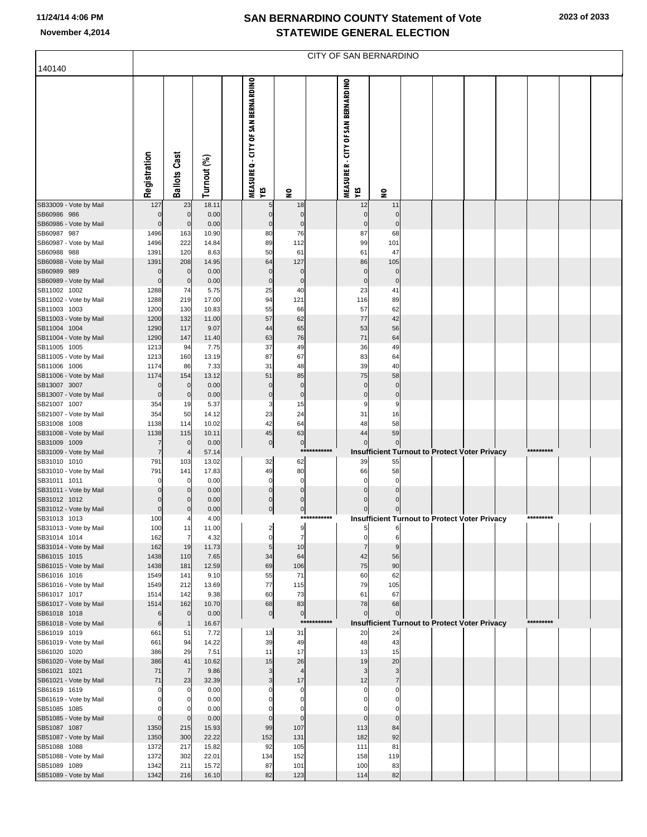| 140140                                 |                     | CITY OF SAN BERNARDINO     |                |  |                                           |                          |             |                                           |                          |  |  |                                                      |  |           |  |  |
|----------------------------------------|---------------------|----------------------------|----------------|--|-------------------------------------------|--------------------------|-------------|-------------------------------------------|--------------------------|--|--|------------------------------------------------------|--|-----------|--|--|
|                                        | Registration        | <b>Ballots Cast</b>        | Turnout (%)    |  | MEASURE Q - CITY OF SAN BERNARDINO<br>YES | $\mathbf{S}$             |             | MEASURE R - CITY OF SAN BERNARDINO<br>٧ÉS | $\mathbf{S}$             |  |  |                                                      |  |           |  |  |
| SB33009 - Vote by Mail<br>SB60986 986  | 127<br>0            | 23<br>$\overline{0}$       | 18.11<br>0.00  |  | $\Omega$                                  | 18<br>$\mathbf 0$        |             | 12<br>0                                   | 11<br>$\overline{0}$     |  |  |                                                      |  |           |  |  |
| SB60986 - Vote by Mail                 | $\mathbf 0$         | $\mathbf 0$                | 0.00           |  | 0                                         | $\mathbf 0$              |             | $\mathbf 0$                               | $\mathbf 0$              |  |  |                                                      |  |           |  |  |
| SB60987 987<br>SB60987 - Vote by Mail  | 1496<br>1496        | 163<br>222                 | 10.90<br>14.84 |  | 80<br>89                                  | 76<br>112                |             | 87<br>99                                  | 68<br>101                |  |  |                                                      |  |           |  |  |
| SB60988 988                            | 1391                | 120                        | 8.63           |  | 50                                        | 61                       |             | 61                                        | 47                       |  |  |                                                      |  |           |  |  |
| SB60988 - Vote by Mail                 | 1391                | 208                        | 14.95          |  | 64                                        | 127                      |             | 86                                        | 105                      |  |  |                                                      |  |           |  |  |
| SB60989 989<br>SB60989 - Vote by Mail  | 0<br>$\mathbf 0$    | $\mathbf 0$<br>$\mathbf 0$ | 0.00<br>0.00   |  | $\mathbf 0$<br>$\mathbf 0$                | $\mathbf 0$<br>$\bf 0$   |             | $\Omega$<br>$\mathbf 0$                   | $\mathbf 0$<br>$\pmb{0}$ |  |  |                                                      |  |           |  |  |
| SB11002 1002                           | 1288                | 74                         | 5.75           |  | 25                                        | 40                       |             | 23                                        | 41                       |  |  |                                                      |  |           |  |  |
| SB11002 - Vote by Mail                 | 1288                | 219                        | 17.00          |  | 94                                        | 121                      |             | 116                                       | 89                       |  |  |                                                      |  |           |  |  |
| SB11003 1003<br>SB11003 - Vote by Mail | 1200                | 130                        | 10.83          |  | 55<br>57                                  | 66                       |             | 57<br>77                                  | 62<br>42                 |  |  |                                                      |  |           |  |  |
| SB11004 1004                           | 1200<br>1290        | 132<br>117                 | 11.00<br>9.07  |  | 44                                        | 62<br>65                 |             | 53                                        | 56                       |  |  |                                                      |  |           |  |  |
| SB11004 - Vote by Mail                 | 1290                | 147                        | 11.40          |  | 63                                        | 76                       |             | 71                                        | 64                       |  |  |                                                      |  |           |  |  |
| SB11005 1005                           | 1213                | 94                         | 7.75           |  | 37                                        | 49                       |             | 36                                        | 49                       |  |  |                                                      |  |           |  |  |
| SB11005 - Vote by Mail<br>SB11006 1006 | 1213<br>1174        | 160<br>86                  | 13.19<br>7.33  |  | 87<br>31                                  | 67<br>48                 |             | 83<br>39                                  | 64<br>40                 |  |  |                                                      |  |           |  |  |
| SB11006 - Vote by Mail                 | 1174                | 154                        | 13.12          |  | 51                                        | 85                       |             | 75                                        | 58                       |  |  |                                                      |  |           |  |  |
| SB13007 3007                           | 0                   | $\mathbf 0$                | 0.00           |  | $\mathbf 0$                               | $\mathbf 0$              |             | $\Omega$                                  | $\mathbf 0$              |  |  |                                                      |  |           |  |  |
| SB13007 - Vote by Mail<br>SB21007 1007 | $\mathbf 0$<br>354  | $\mathbf 0$<br>19          | 0.00<br>5.37   |  | $\pmb{0}$<br>3                            | $\bf 0$<br>15            |             | $\mathbf 0$<br>g                          | $\pmb{0}$<br>9           |  |  |                                                      |  |           |  |  |
| SB21007 - Vote by Mail                 | 354                 | 50                         | 14.12          |  | 23                                        | 24                       |             | 31                                        | 16                       |  |  |                                                      |  |           |  |  |
| SB31008 1008                           | 1138                | 114                        | 10.02          |  | 42                                        | 64                       |             | 48                                        | 58                       |  |  |                                                      |  |           |  |  |
| SB31008 - Vote by Mail                 | 1138                | 115                        | 10.11          |  | 45                                        | 63                       |             | 44                                        | 59                       |  |  |                                                      |  |           |  |  |
| SB31009 1009<br>SB31009 - Vote by Mail | 7<br>$\overline{7}$ | $\overline{0}$             | 0.00<br>57.14  |  | $\overline{0}$                            | $\overline{0}$<br>***    |             | 0                                         | $\pmb{0}$                |  |  | <b>Insufficient Turnout to Protect Voter Privacy</b> |  | ********* |  |  |
| SB31010 1010                           | 791                 | 103                        | 13.02          |  | 32                                        | 62                       |             | 39                                        | 55                       |  |  |                                                      |  |           |  |  |
| SB31010 - Vote by Mail                 | 791                 | 141                        | 17.83          |  | 49                                        | 80                       |             | 66                                        | 58                       |  |  |                                                      |  |           |  |  |
| SB31011 1011<br>SB31011 - Vote by Mail | 0                   | 0<br>0                     | 0.00<br>0.00   |  | $\mathbf 0$<br>$\mathbf 0$                | $\mathbf 0$<br>$\pmb{0}$ |             | $\Omega$                                  | $\Omega$<br>$\Omega$     |  |  |                                                      |  |           |  |  |
| SB31012 1012                           | $\Omega$            |                            | 0.00           |  | $\mathbf 0$                               | $\mathbf 0$              |             |                                           | $\Omega$                 |  |  |                                                      |  |           |  |  |
| SB31012 - Vote by Mail                 | $\mathbf 0$         | $\Omega$                   | 0.00           |  | $\pmb{0}$                                 | $\overline{0}$           |             | 0                                         | 0                        |  |  |                                                      |  |           |  |  |
| SB31013 1013                           | 100                 |                            | 4.00           |  | $\sim$                                    | 9                        | *********** |                                           |                          |  |  | <b>Insufficient Turnout to Protect Voter Privacy</b> |  | ********* |  |  |
| SB31013 - Vote by Mail<br>SB31014 1014 | 100<br>162          | 11<br>7                    | 11.00<br>4.32  |  | $\mathbf 0$                               | $\overline{7}$           |             | 0                                         | 6                        |  |  |                                                      |  |           |  |  |
| SB31014 - Vote by Mail                 | 162                 | 19                         | 11.73          |  | $\sqrt{5}$                                | 10                       |             | $\overline{7}$                            | 9                        |  |  |                                                      |  |           |  |  |
| SB61015 1015                           | 1438                | 110                        | 7.65           |  | 34<br>69                                  | 64                       |             | 42<br>75                                  | 56<br>90                 |  |  |                                                      |  |           |  |  |
| SB61015 - Vote by Mail<br>SB61016 1016 | 1438<br>1549        | 181<br>141                 | 12.59<br>9.10  |  | 55                                        | 106<br>71                |             | 60                                        | 62                       |  |  |                                                      |  |           |  |  |
| SB61016 - Vote by Mail                 | 1549                | 212                        | 13.69          |  | 77                                        | 115                      |             | 79                                        | 105                      |  |  |                                                      |  |           |  |  |
| SB61017 1017                           | 1514                | 142                        | 9.38           |  | 60                                        | 73                       |             | 61                                        | 67                       |  |  |                                                      |  |           |  |  |
| SB61017 - Vote by Mail<br>SB61018 1018 | 1514<br>6           | 162<br>$\overline{0}$      | 10.70<br>0.00  |  | 68<br>$\overline{0}$                      | 83<br> 0                 |             | 78<br>$\mathbf 0$                         | 68<br>$\overline{0}$     |  |  |                                                      |  |           |  |  |
| SB61018 - Vote by Mail                 | 6                   | -1                         | 16.67          |  |                                           |                          | *********** |                                           |                          |  |  | <b>Insufficient Turnout to Protect Voter Privacy</b> |  | ********* |  |  |
| SB61019 1019                           | 661                 | 51                         | 7.72           |  | 13                                        | 31                       |             | 20                                        | 24                       |  |  |                                                      |  |           |  |  |
| SB61019 - Vote by Mail<br>SB61020 1020 | 661<br>386          | 94<br>29                   | 14.22<br>7.51  |  | 39<br>11                                  | 49<br>17                 |             | 48<br>13                                  | 43<br>15                 |  |  |                                                      |  |           |  |  |
| SB61020 - Vote by Mail                 | 386                 | 41                         | 10.62          |  | 15                                        | 26                       |             | 19                                        | 20                       |  |  |                                                      |  |           |  |  |
| SB61021 1021                           | 71                  | $\overline{7}$             | 9.86           |  | 3                                         | $\overline{4}$           |             | 3                                         | 3                        |  |  |                                                      |  |           |  |  |
| SB61021 - Vote by Mail<br>SB61619 1619 | 71<br>0             | 23                         | 32.39<br>0.00  |  | 3                                         | 17<br>$\mathbf 0$        |             | 12<br>$\Omega$                            | $\overline{7}$<br>0      |  |  |                                                      |  |           |  |  |
| SB61619 - Vote by Mail                 | 0                   | 0                          | 0.00           |  |                                           | 0                        |             | 0                                         | 0                        |  |  |                                                      |  |           |  |  |
| SB51085 1085                           |                     |                            | 0.00           |  |                                           | $\Omega$                 |             |                                           | $\Omega$                 |  |  |                                                      |  |           |  |  |
| SB51085 - Vote by Mail                 | $\mathsf{O}\xspace$ | $\mathbf 0$                | 0.00           |  | $\mathbf 0$                               | $\mathbf 0$              |             | $\mathbf 0$                               | $\mathbf 0$              |  |  |                                                      |  |           |  |  |
| SB51087 1087<br>SB51087 - Vote by Mail | 1350<br>1350        | 215<br>300                 | 15.93<br>22.22 |  | 99<br>152                                 | 107<br>131               |             | 113<br>182                                | 84<br>92                 |  |  |                                                      |  |           |  |  |
| SB51088 1088                           | 1372                | 217                        | 15.82          |  | 92                                        | 105                      |             | 111                                       | 81                       |  |  |                                                      |  |           |  |  |
| SB51088 - Vote by Mail                 | 1372                | 302                        | 22.01          |  | 134                                       | 152                      |             | 158                                       | 119                      |  |  |                                                      |  |           |  |  |
| SB51089 1089<br>SB51089 - Vote by Mail | 1342<br>1342        | 211<br>216                 | 15.72<br>16.10 |  | 87<br>82                                  | 101<br>123               |             | 100<br>114                                | 83<br>82                 |  |  |                                                      |  |           |  |  |
|                                        |                     |                            |                |  |                                           |                          |             |                                           |                          |  |  |                                                      |  |           |  |  |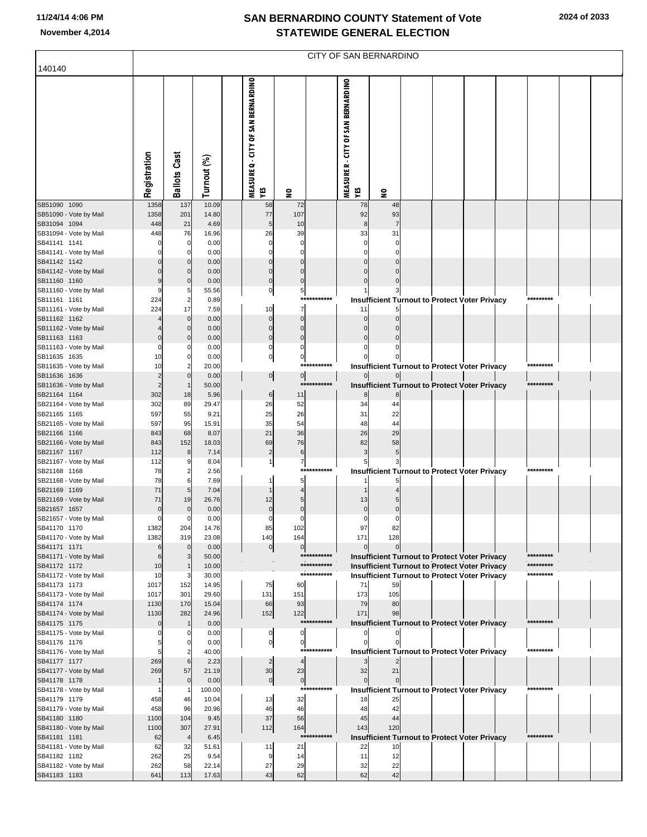|                                        | CITY OF SAN BERNARDINO  |                             |                |                                                  |                        |             |                                                  |                         |  |  |                                                      |  |           |  |  |
|----------------------------------------|-------------------------|-----------------------------|----------------|--------------------------------------------------|------------------------|-------------|--------------------------------------------------|-------------------------|--|--|------------------------------------------------------|--|-----------|--|--|
| 140140                                 |                         |                             |                |                                                  |                        |             |                                                  |                         |  |  |                                                      |  |           |  |  |
|                                        | Registration            | <b>Ballots Cast</b>         | Turnout (%)    | <b>MEASURE Q - CITY OF SAN BERNARDINO</b><br>ΥÉS | $\mathbf{S}$           |             | <b>MEASURE R - CITY OF SAN BERNARDINO</b><br>ΥÉS | $\mathbf{S}$            |  |  |                                                      |  |           |  |  |
| SB51090 1090                           | 1358                    | 137                         | 10.09          | 58                                               | 72                     |             | 78                                               | 48                      |  |  |                                                      |  |           |  |  |
| SB51090 - Vote by Mail<br>SB31094 1094 | 1358<br>448             | 201<br>21                   | 14.80<br>4.69  | 77<br>5                                          | 107<br>10              |             | 92<br>8                                          | 93                      |  |  |                                                      |  |           |  |  |
| SB31094 - Vote by Mail                 | 448                     | 76                          | 16.96          | 26                                               | 39                     |             | 33                                               | 31                      |  |  |                                                      |  |           |  |  |
| SB41141 1141                           |                         | 0                           | 0.00           | 0                                                | 0                      |             |                                                  |                         |  |  |                                                      |  |           |  |  |
| SB41141 - Vote by Mail<br>SB41142 1142 |                         | $\Omega$<br>$\mathbf 0$     | 0.00           |                                                  | $\Omega$<br>$\Omega$   |             |                                                  |                         |  |  |                                                      |  |           |  |  |
| SB41142 - Vote by Mail                 |                         | $\Omega$                    | 0.00<br>0.00   | $\Omega$                                         | $\Omega$               |             |                                                  |                         |  |  |                                                      |  |           |  |  |
| SB11160 1160                           |                         | $\mathbf 0$                 | 0.00           | $\Omega$                                         | $\overline{0}$         |             |                                                  |                         |  |  |                                                      |  |           |  |  |
| SB11160 - Vote by Mail                 |                         | 5                           | 55.56          | $\mathbf{0}$                                     | $\overline{5}$         | *********** |                                                  |                         |  |  |                                                      |  | ********* |  |  |
| SB11161 1161<br>SB11161 - Vote by Mail | 224<br>224              | $\overline{c}$<br>17        | 0.89<br>7.59   | 10                                               | 7                      |             |                                                  |                         |  |  | <b>Insufficient Turnout to Protect Voter Privacy</b> |  |           |  |  |
| SB11162 1162                           |                         | $\mathbf 0$                 | 0.00           | $\Omega$                                         | $\overline{0}$         |             |                                                  |                         |  |  |                                                      |  |           |  |  |
| SB11162 - Vote by Mail                 |                         | $\Omega$                    | 0.00           | $\Omega$                                         | $\Omega$               |             |                                                  |                         |  |  |                                                      |  |           |  |  |
| SB11163 1163<br>SB11163 - Vote by Mail |                         | $\Omega$<br>$\Omega$        | 0.00<br>0.00   | $\Omega$<br>0                                    | $\overline{0}$<br>0    |             |                                                  |                         |  |  |                                                      |  |           |  |  |
| SB11635 1635                           | 10                      | $\mathbf 0$                 | 0.00           | 이                                                | $\mathbf{0}$           |             |                                                  |                         |  |  |                                                      |  |           |  |  |
| SB11635 - Vote by Mail                 | 10                      | $\overline{2}$              | 20.00          |                                                  |                        | *********** |                                                  |                         |  |  | <b>Insufficient Turnout to Protect Voter Privacy</b> |  | ********* |  |  |
| SB11636 1636                           |                         | $\mathbf 0$<br>$\mathbf{1}$ | 0.00           | $\overline{0}$                                   | 이                      | *********** | $\overline{0}$                                   |                         |  |  |                                                      |  | ********* |  |  |
| SB11636 - Vote by Mail<br>SB21164 1164 | 302                     | 18                          | 50.00<br>5.96  | $6 \overline{}$                                  | 11                     |             | 8                                                | 8                       |  |  | <b>Insufficient Turnout to Protect Voter Privacy</b> |  |           |  |  |
| SB21164 - Vote by Mail                 | 302                     | 89                          | 29.47          | 26                                               | 52                     |             | 34                                               | 44                      |  |  |                                                      |  |           |  |  |
| SB21165 1165                           | 597                     | 55                          | 9.21           | 25                                               | 26                     |             | 31                                               | 22                      |  |  |                                                      |  |           |  |  |
| SB21165 - Vote by Mail<br>SB21166 1166 | 597<br>843              | 95<br>68                    | 15.91<br>8.07  | 35<br>21                                         | 54<br>36               |             | 48<br>26                                         | 44<br>29                |  |  |                                                      |  |           |  |  |
| SB21166 - Vote by Mail                 | 843                     | 152                         | 18.03          | 69                                               | 76                     |             | 82                                               | 58                      |  |  |                                                      |  |           |  |  |
| SB21167 1167                           | 112                     | 8                           | 7.14           | $\overline{2}$                                   | 6                      |             | 3                                                | 5                       |  |  |                                                      |  |           |  |  |
| SB21167 - Vote by Mail<br>SB21168 1168 | 112<br>78               | 9<br>$\overline{2}$         | 8.04<br>2.56   | $\mathbf{1}$                                     | $\overline{7}$<br>**** | *******     |                                                  |                         |  |  | Insufficient Turnout to Protect Voter Privacy        |  | ********* |  |  |
| SB21168 - Vote by Mail                 | 78                      | 6                           | 7.69           |                                                  | $5 \mid$               |             |                                                  |                         |  |  |                                                      |  |           |  |  |
| SB21169 1169                           | 71                      | 5                           | 7.04           |                                                  |                        |             |                                                  |                         |  |  |                                                      |  |           |  |  |
| SB21169 - Vote by Mail                 | 71                      | 19                          | 26.76          | 12                                               | 5 <sub>l</sub>         |             | 13                                               |                         |  |  |                                                      |  |           |  |  |
| SB21657 1657<br>SB21657 - Vote by Mail | $\mathbf 0$<br>$\Omega$ | $\mathbf 0$<br>$\mathbf 0$  | 0.00<br>0.00   | $\overline{0}$<br>$\mathbf{0}$                   | $\overline{0}$<br>οI   |             | $\mathbf 0$<br>$\Omega$                          | $\mathbf 0$<br>$\Omega$ |  |  |                                                      |  |           |  |  |
| SB41170 1170                           | 1382                    | 204                         | 14.76          | 85                                               | 102                    |             | 97                                               | 82                      |  |  |                                                      |  |           |  |  |
| SB41170 - Vote by Mail                 | 1382                    | 319                         | 23.08          | 140                                              | 164                    |             | 171                                              | 128                     |  |  |                                                      |  |           |  |  |
| SB41171 1171<br>SB41171 - Vote by Mail | 6<br>6                  | $\mathbf 0$<br>3            | 0.00<br>50.00  | $\overline{0}$                                   | $\overline{0}$         | *********** | $\Omega$                                         |                         |  |  | <b>Insufficient Turnout to Protect Voter Privacy</b> |  | ********* |  |  |
| SB41172 1172                           | 10                      | $\mathbf{1}$                | 10.00          |                                                  |                        | *********** |                                                  |                         |  |  | <b>Insufficient Turnout to Protect Voter Privacy</b> |  | ********* |  |  |
| SB41172 - Vote by Mail                 | 10                      | 3                           | 30.00          |                                                  |                        | *********** |                                                  |                         |  |  | <b>Insufficient Turnout to Protect Voter Privacy</b> |  | ********* |  |  |
| SB41173 1173<br>SB41173 - Vote by Mail | 1017<br>1017            | 152<br>301                  | 14.95<br>29.60 | 75<br>131                                        | 60<br>151              |             | 71<br>173                                        | 59<br>105               |  |  |                                                      |  |           |  |  |
| SB41174 1174                           | 1130                    | 170                         | 15.04          | 66                                               | 93                     |             | 79                                               | 80                      |  |  |                                                      |  |           |  |  |
| SB41174 - Vote by Mail                 | 1130                    | 282                         | 24.96          | 152                                              | 122                    |             | 171                                              | 98                      |  |  |                                                      |  |           |  |  |
| SB41175 1175<br>SB41175 - Vote by Mail |                         | $\mathbf{1}$<br>$\Omega$    | 0.00<br>0.00   |                                                  | $\mathbf{0}$           | *********** |                                                  |                         |  |  | Insufficient Turnout to Protect Voter Privacy        |  | ********* |  |  |
| SB41176 1176                           |                         | 0                           | 0.00           | 0<br>$\overline{0}$                              | $\overline{0}$         |             | $\Omega$                                         |                         |  |  |                                                      |  |           |  |  |
| SB41176 - Vote by Mail                 |                         | $\overline{2}$              | 40.00          |                                                  |                        | *********** |                                                  |                         |  |  | <b>Insufficient Turnout to Protect Voter Privacy</b> |  | ********* |  |  |
| SB41177 1177                           | 269                     | $6\phantom{1}6$             | 2.23           | $\overline{2}$                                   | 4                      |             | 3                                                |                         |  |  |                                                      |  |           |  |  |
| SB41177 - Vote by Mail<br>SB41178 1178 | 269                     | 57<br>$\mathbf 0$           | 21.19<br>0.00  | 30<br>$\overline{0}$                             | 23<br>$\overline{0}$   |             | 32                                               | 21                      |  |  |                                                      |  |           |  |  |
| SB41178 - Vote by Mail                 |                         | -1                          | 100.00         |                                                  |                        | *********** |                                                  |                         |  |  | Insufficient Turnout to Protect Voter Privacy        |  | ********* |  |  |
| SB41179 1179                           | 458                     | 46                          | 10.04          | 13                                               | 32                     |             | 18                                               | 25                      |  |  |                                                      |  |           |  |  |
| SB41179 - Vote by Mail<br>SB41180 1180 | 458<br>1100             | 96<br>104                   | 20.96<br>9.45  | 46<br>37                                         | 46<br>56               |             | 48<br>45                                         | 42<br>44                |  |  |                                                      |  |           |  |  |
| SB41180 - Vote by Mail                 | 1100                    | 307                         | 27.91          | 112                                              | 164                    |             | 143                                              | 120                     |  |  |                                                      |  |           |  |  |
| SB41181 1181                           | 62                      | $\overline{4}$              | 6.45           |                                                  |                        | *********** |                                                  |                         |  |  | <b>Insufficient Turnout to Protect Voter Privacy</b> |  | ********* |  |  |
| SB41181 - Vote by Mail                 | 62                      | 32                          | 51.61          | 11                                               | 21                     |             | 22                                               | 10                      |  |  |                                                      |  |           |  |  |
| SB41182 1182<br>SB41182 - Vote by Mail | 262<br>262              | 25<br>58                    | 9.54<br>22.14  | 9<br>27                                          | 14<br>29               |             | 11<br>32                                         | 12<br>22                |  |  |                                                      |  |           |  |  |
| SB41183 1183                           | 641                     | 113                         | 17.63          | 43                                               | 62                     |             | 62                                               | 42                      |  |  |                                                      |  |           |  |  |
|                                        |                         |                             |                |                                                  |                        |             |                                                  |                         |  |  |                                                      |  |           |  |  |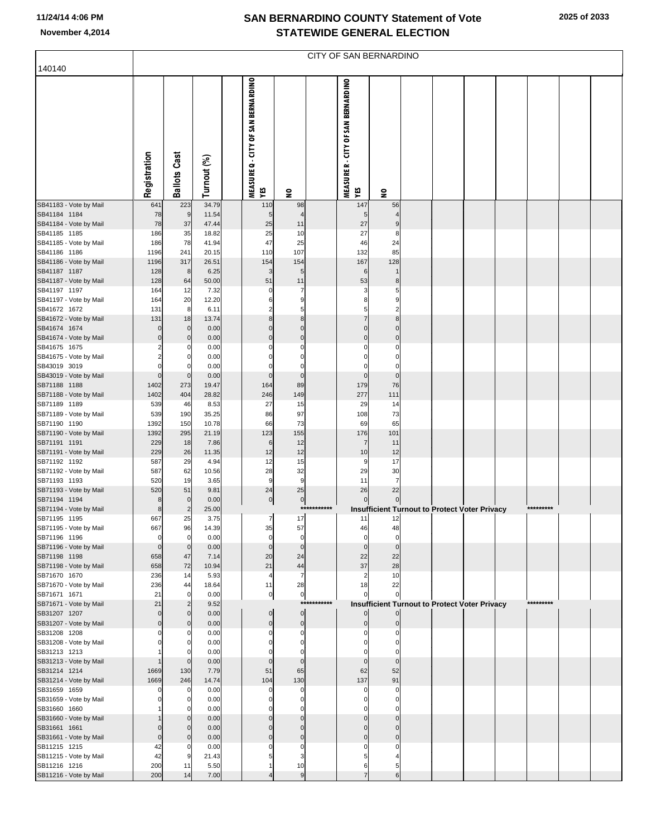| 140140                                 | CITY OF SAN BERNARDINO |                               |                |  |                                           |                |             |                                           |                |  |  |                                                      |  |           |  |
|----------------------------------------|------------------------|-------------------------------|----------------|--|-------------------------------------------|----------------|-------------|-------------------------------------------|----------------|--|--|------------------------------------------------------|--|-----------|--|
|                                        |                        |                               |                |  |                                           |                |             |                                           |                |  |  |                                                      |  |           |  |
|                                        | Registration           | <b>Ballots Cast</b>           | Turnout (%)    |  | MEASURE Q - CITY OF SAN BERNARDINO<br>ΥÉS | $\mathbf{S}$   |             | MEASURE R - CITY OF SAN BERNARDINO<br>YES | $\mathbf{S}$   |  |  |                                                      |  |           |  |
| SB41183 - Vote by Mail                 | 641                    | 223                           | 34.79          |  | 110                                       | 98             |             | 147                                       | 56             |  |  |                                                      |  |           |  |
| SB41184 1184<br>SB41184 - Vote by Mail | 78<br>78               | 9<br>37                       | 11.54<br>47.44 |  | 5<br>25                                   | 11             |             | 5<br>27                                   | 9              |  |  |                                                      |  |           |  |
| SB41185 1185                           | 186                    | 35                            | 18.82          |  | 25                                        | 10             |             | 27                                        | 8              |  |  |                                                      |  |           |  |
| SB41185 - Vote by Mail                 | 186                    | 78                            | 41.94          |  | 47                                        | 25             |             | 46                                        | 24             |  |  |                                                      |  |           |  |
| SB41186 1186                           | 1196                   | 241                           | 20.15          |  | 110                                       | 107            |             | 132                                       | 85             |  |  |                                                      |  |           |  |
| SB41186 - Vote by Mail                 | 1196                   | 317<br>8                      | 26.51          |  | 154<br>3                                  | 154            |             | 167<br>6                                  | 128            |  |  |                                                      |  |           |  |
| SB41187 1187<br>SB41187 - Vote by Mail | 128<br>128             | 64                            | 6.25<br>50.00  |  | 51                                        | 5<br>11        |             | 53                                        | $\bf 8$        |  |  |                                                      |  |           |  |
| SB41197 1197                           | 164                    | 12                            | 7.32           |  | 0                                         | 7              |             | 3                                         | 5              |  |  |                                                      |  |           |  |
| SB41197 - Vote by Mail                 | 164                    | 20                            | 12.20          |  | 6                                         | 9              |             |                                           | 9              |  |  |                                                      |  |           |  |
| SB41672 1672                           | 131                    | 8                             | 6.11           |  | $\overline{c}$                            | 5              |             | 5                                         | 2              |  |  |                                                      |  |           |  |
| SB41672 - Vote by Mail<br>SB41674 1674 | 131                    | 18<br>$\pmb{0}$               | 13.74<br>0.00  |  | 8<br>0                                    | 8<br>$\Omega$  |             | $\Omega$                                  | 8<br>$\Omega$  |  |  |                                                      |  |           |  |
| SB41674 - Vote by Mail                 |                        | $\Omega$                      | 0.00           |  | 0                                         | $\Omega$       |             | $\Omega$                                  | $\mathbf 0$    |  |  |                                                      |  |           |  |
| SB41675 1675                           |                        | 0                             | 0.00           |  |                                           | 0              |             |                                           | 0              |  |  |                                                      |  |           |  |
| SB41675 - Vote by Mail                 |                        |                               | 0.00           |  |                                           |                |             |                                           |                |  |  |                                                      |  |           |  |
| SB43019 3019<br>SB43019 - Vote by Mail |                        | 0<br>$\mathbf 0$              | 0.00<br>0.00   |  |                                           | 0<br>$\Omega$  |             | $\Omega$                                  | 0<br>$\Omega$  |  |  |                                                      |  |           |  |
| SB71188 1188                           | 1402                   | 273                           | 19.47          |  | 164                                       | 89             |             | 179                                       | 76             |  |  |                                                      |  |           |  |
| SB71188 - Vote by Mail                 | 1402                   | 404                           | 28.82          |  | 246                                       | 149            |             | 277                                       | 111            |  |  |                                                      |  |           |  |
| SB71189 1189                           | 539                    | 46                            | 8.53           |  | 27                                        | 15             |             | 29                                        | 14             |  |  |                                                      |  |           |  |
| SB71189 - Vote by Mail<br>SB71190 1190 | 539<br>1392            | 190<br>150                    | 35.25<br>10.78 |  | 86<br>66                                  | 97<br>73       |             | 108<br>69                                 | 73<br>65       |  |  |                                                      |  |           |  |
| SB71190 - Vote by Mail                 | 1392                   | 295                           | 21.19          |  | 123                                       | 155            |             | 176                                       | 101            |  |  |                                                      |  |           |  |
| SB71191 1191                           | 229                    | 18                            | 7.86           |  | 6                                         | 12             |             | $\overline{7}$                            | 11             |  |  |                                                      |  |           |  |
| SB71191 - Vote by Mail                 | 229                    | 26                            | 11.35          |  | 12                                        | 12             |             | 10                                        | 12             |  |  |                                                      |  |           |  |
| SB71192 1192<br>SB71192 - Vote by Mail | 587<br>587             | 29<br>62                      | 4.94<br>10.56  |  | 12<br>28                                  | 15<br>32       |             | 9<br>29                                   | 17<br>30       |  |  |                                                      |  |           |  |
| SB71193 1193                           | 520                    | 19                            | 3.65           |  | 9                                         | 9              |             | 11                                        | $\overline{7}$ |  |  |                                                      |  |           |  |
| SB71193 - Vote by Mail                 | 520                    | 51                            | 9.81           |  | 24                                        | 25             |             | 26                                        | 22             |  |  |                                                      |  |           |  |
| SB71194 1194                           | 8                      | $\mathbf 0$                   | 0.00           |  | $\mathbf 0$                               | $\mathbf 0$    |             |                                           |                |  |  |                                                      |  |           |  |
| SB71194 - Vote by Mail<br>SB71195 1195 | 8<br>667               | $\overline{\mathbf{c}}$<br>25 | 25.00<br>3.75  |  | 7                                         | 17             | *********** | 11                                        | 12             |  |  | Insufficient Turnout to Protect Voter Privacy        |  | ********* |  |
| SB71195 - Vote by Mail                 | 667                    | 96                            | 14.39          |  | 35                                        | 57             |             | 46                                        | 48             |  |  |                                                      |  |           |  |
| SB71196 1196                           |                        | $\mathbf 0$                   | 0.00           |  | 0                                         | $\mathbf 0$    |             | $\Omega$                                  | $\Omega$       |  |  |                                                      |  |           |  |
| SB71196 - Vote by Mail                 |                        | $\mathbf 0$                   | 0.00           |  | $\Omega$                                  | $\Omega$       |             |                                           | $\Omega$       |  |  |                                                      |  |           |  |
| SB71198 1198<br>SB71198 - Vote by Mail | 658<br>658             | 47<br>72                      | 7.14<br>10.94  |  | 20<br>21                                  | 24<br>44       |             | 22<br>37                                  | 22<br>28       |  |  |                                                      |  |           |  |
| SB71670 1670                           | 236                    | 14                            | 5.93           |  |                                           | $\overline{7}$ |             | 2                                         | 10             |  |  |                                                      |  |           |  |
| SB71670 - Vote by Mail                 | 236                    | 44                            | 18.64          |  | 11                                        | 28             |             | 18                                        | 22             |  |  |                                                      |  |           |  |
| SB71671 1671                           | 21                     | $\mathbf 0$                   | 0.00           |  | 0                                         | $\overline{0}$ |             |                                           | $\Omega$       |  |  |                                                      |  |           |  |
| SB71671 - Vote by Mail<br>SB31207 1207 | 21                     | $\overline{c}$<br>$\mathbf 0$ | 9.52<br>0.00   |  | 0                                         | $\mathbf 0$    | *********** |                                           |                |  |  | <b>Insufficient Turnout to Protect Voter Privacy</b> |  | ********* |  |
| SB31207 - Vote by Mail                 |                        | $\Omega$                      | 0.00           |  | $\mathbf 0$                               | $\Omega$       |             |                                           |                |  |  |                                                      |  |           |  |
| SB31208 1208                           |                        | $\Omega$                      | 0.00           |  | 0                                         | 0              |             |                                           |                |  |  |                                                      |  |           |  |
| SB31208 - Vote by Mail                 |                        |                               | 0.00           |  |                                           |                |             |                                           |                |  |  |                                                      |  |           |  |
| SB31213 1213<br>SB31213 - Vote by Mail |                        | $\Omega$                      | 0.00<br>0.00   |  |                                           | $\Omega$       |             |                                           |                |  |  |                                                      |  |           |  |
| SB31214 1214                           | 1669                   | 130                           | 7.79           |  | 51                                        | 65             |             | 62                                        | 52             |  |  |                                                      |  |           |  |
| SB31214 - Vote by Mail                 | 1669                   | 246                           | 14.74          |  | 104                                       | 130            |             | 137                                       | 91             |  |  |                                                      |  |           |  |
| SB31659 1659                           |                        | $\Omega$                      | 0.00           |  |                                           | 0              |             | $\Omega$                                  | $\Omega$       |  |  |                                                      |  |           |  |
| SB31659 - Vote by Mail                 |                        |                               | 0.00<br>0.00   |  |                                           | ŋ              |             |                                           |                |  |  |                                                      |  |           |  |
| SB31660 1660<br>SB31660 - Vote by Mail |                        |                               | 0.00           |  |                                           |                |             |                                           |                |  |  |                                                      |  |           |  |
| SB31661 1661                           |                        | $\Omega$                      | 0.00           |  |                                           | 0              |             | $\Omega$                                  |                |  |  |                                                      |  |           |  |
| SB31661 - Vote by Mail                 |                        | $\Omega$                      | 0.00           |  |                                           | $\Omega$       |             | $\Omega$                                  |                |  |  |                                                      |  |           |  |
| SB11215 1215                           | 42                     | $\mathbf 0$                   | 0.00           |  |                                           | $\mathbf 0$    |             |                                           |                |  |  |                                                      |  |           |  |
| SB11215 - Vote by Mail<br>SB11216 1216 | 42<br>200              | 11                            | 21.43<br>5.50  |  |                                           | 10             |             | 6                                         | 5              |  |  |                                                      |  |           |  |
| SB11216 - Vote by Mail                 | 200                    | 14                            | 7.00           |  |                                           | 9              |             |                                           | 6              |  |  |                                                      |  |           |  |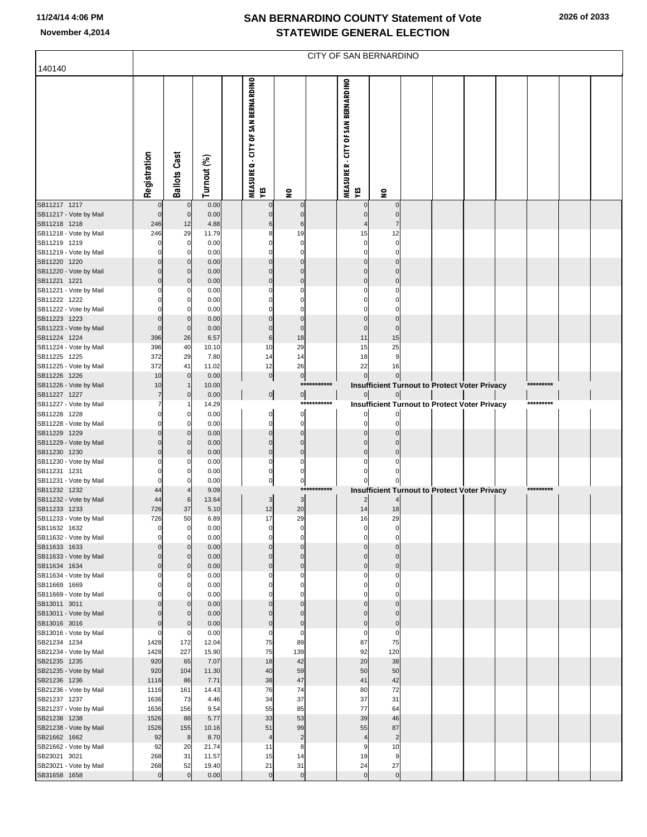|                                        | CITY OF SAN BERNARDINO |                               |               |  |                                           |                        |         |                                           |                            |  |  |                                                      |  |           |  |
|----------------------------------------|------------------------|-------------------------------|---------------|--|-------------------------------------------|------------------------|---------|-------------------------------------------|----------------------------|--|--|------------------------------------------------------|--|-----------|--|
| 140140                                 |                        |                               |               |  |                                           |                        |         |                                           |                            |  |  |                                                      |  |           |  |
|                                        | Registration           | <b>Ballots Cast</b>           | Turnout (%)   |  | MEASURE Q - CITY OF SAN BERNARDINO<br>YES | $\mathbf{S}$           |         | MEASURE R - CITY OF SAN BERNARDINO<br>٧ÉS | $\mathbf{S}$               |  |  |                                                      |  |           |  |
| SB11217 1217                           |                        | $\mathbf 0$                   | 0.00          |  |                                           | $\Omega$               |         |                                           |                            |  |  |                                                      |  |           |  |
| SB11217 - Vote by Mail<br>SB11218 1218 | 246                    | $\mathbf 0$<br>12             | 0.00<br>4.88  |  |                                           | 6                      |         | 0                                         | 0<br>7                     |  |  |                                                      |  |           |  |
| SB11218 - Vote by Mail                 | 246                    | 29                            | 11.79         |  |                                           | 19                     |         | 15                                        | 12                         |  |  |                                                      |  |           |  |
| SB11219 1219                           |                        | $\pmb{0}$                     | 0.00          |  |                                           | 0                      |         | 0                                         | 0                          |  |  |                                                      |  |           |  |
| SB11219 - Vote by Mail<br>SB11220 1220 |                        | $\mathbf 0$<br>$\mathbf 0$    | 0.00<br>0.00  |  |                                           | $\Omega$               |         |                                           | $\Omega$                   |  |  |                                                      |  |           |  |
| SB11220 - Vote by Mail                 |                        | $\mathbf 0$                   | 0.00          |  |                                           | $\Omega$               |         |                                           |                            |  |  |                                                      |  |           |  |
| SB11221 1221                           |                        | $\Omega$                      | 0.00          |  |                                           | $\Omega$               |         |                                           |                            |  |  |                                                      |  |           |  |
| SB11221 - Vote by Mail<br>SB11222 1222 |                        | 0<br>$\Omega$                 | 0.00<br>0.00  |  |                                           | 0<br>0                 |         |                                           | 0                          |  |  |                                                      |  |           |  |
| SB11222 - Vote by Mail                 |                        | $\Omega$                      | 0.00          |  |                                           | 0                      |         |                                           |                            |  |  |                                                      |  |           |  |
| SB11223 1223                           |                        | $\mathbf 0$                   | 0.00          |  |                                           |                        |         |                                           |                            |  |  |                                                      |  |           |  |
| SB11223 - Vote by Mail                 |                        | $\mathbf 0$                   | 0.00          |  |                                           | $\Omega$               |         | 0                                         |                            |  |  |                                                      |  |           |  |
| SB11224 1224<br>SB11224 - Vote by Mail | 396<br>396             | 26<br>40                      | 6.57<br>10.10 |  | 6<br>10                                   | 18<br>29               |         | 11<br>15                                  | 15<br>25                   |  |  |                                                      |  |           |  |
| SB11225 1225                           | 372                    | 29                            | 7.80          |  | 14                                        | 14                     |         | 18                                        | 9                          |  |  |                                                      |  |           |  |
| SB11225 - Vote by Mail                 | 372                    | 41                            | 11.02         |  | 12                                        | 26                     |         | 22                                        | 16                         |  |  |                                                      |  |           |  |
| SB11226 1226<br>SB11226 - Vote by Mail | 10<br>10               | $\mathbf 0$<br>$\overline{1}$ | 0.00<br>10.00 |  | $\overline{0}$                            | $\overline{0}$<br>***: | ******* | $\mathbf 0$                               |                            |  |  | Insufficient Turnout to Protect Voter Privacy        |  | *******   |  |
| SB11227 1227                           |                        | $\mathbf 0$                   | 0.00          |  | $\overline{0}$                            | 이                      |         |                                           |                            |  |  |                                                      |  |           |  |
| SB11227 - Vote by Mail                 |                        |                               | 14.29         |  |                                           | ***                    | ******* |                                           |                            |  |  | <b>Insufficient Turnout to Protect Voter Privacy</b> |  | ********* |  |
| SB11228 1228<br>SB11228 - Vote by Mail |                        | $\Omega$<br>$\Omega$          | 0.00<br>0.00  |  | 0<br>$\Omega$                             | 0<br>0                 |         |                                           |                            |  |  |                                                      |  |           |  |
| SB11229 1229                           |                        | $\mathbf 0$                   | 0.00          |  |                                           |                        |         |                                           |                            |  |  |                                                      |  |           |  |
| SB11229 - Vote by Mail                 |                        | $\Omega$                      | 0.00          |  |                                           | $\Omega$               |         |                                           |                            |  |  |                                                      |  |           |  |
| SB11230 1230                           |                        | $\Omega$                      | 0.00          |  | 0                                         | 0                      |         |                                           |                            |  |  |                                                      |  |           |  |
| SB11230 - Vote by Mail<br>SB11231 1231 |                        |                               | 0.00<br>0.00  |  | 0<br>0                                    | 0<br>0                 |         |                                           |                            |  |  |                                                      |  |           |  |
| SB11231 - Vote by Mail                 |                        | $\Omega$                      | 0.00          |  | 0                                         | $\overline{0}$         |         |                                           |                            |  |  |                                                      |  |           |  |
| SB11232 1232                           | 44                     |                               | 9.09          |  |                                           | ***                    |         |                                           |                            |  |  | Insufficient Turnout to Protect Voter Privacy        |  |           |  |
| SB11232 - Vote by Mail<br>SB11233 1233 | 44<br>726              | 6<br>37                       | 13.64<br>5.10 |  | $\overline{\mathbf{3}}$<br>12             | $\overline{3}$<br>20   |         | 14                                        | 18                         |  |  |                                                      |  |           |  |
| SB11233 - Vote by Mail                 | 726                    | 50                            | 6.89          |  | 17                                        | 29                     |         | 16                                        | 29                         |  |  |                                                      |  |           |  |
| SB11632 1632                           |                        | 0                             | 0.00          |  |                                           |                        |         |                                           |                            |  |  |                                                      |  |           |  |
| SB11632 - Vote by Mail<br>SB11633 1633 |                        | $\mathbf 0$<br>$\mathbf 0$    | 0.00<br>0.00  |  | O                                         | $\Omega$<br>$\Omega$   |         | $\Omega$<br>0                             | $\Omega$<br>$\Omega$       |  |  |                                                      |  |           |  |
| SB11633 - Vote by Mail                 |                        | $\mathbf 0$                   | 0.00          |  | $\Omega$                                  | $\mathbf 0$            |         | $\mathbf 0$                               | $\mathbf 0$                |  |  |                                                      |  |           |  |
| SB11634 1634                           |                        | $\mathbf 0$                   | 0.00          |  | $\Omega$                                  | $\mathbf 0$            |         | $\mathbf 0$                               | $\mathbf 0$                |  |  |                                                      |  |           |  |
| SB11634 - Vote by Mail<br>SB11669 1669 |                        | 0<br>$\mathbf 0$              | 0.00<br>0.00  |  | 0<br>$\Omega$                             | 0<br>0                 |         | 0<br>0                                    | 0<br>0                     |  |  |                                                      |  |           |  |
| SB11669 - Vote by Mail                 |                        | $\mathbf 0$                   | 0.00          |  | O                                         | $\Omega$               |         | $\Omega$                                  | οI                         |  |  |                                                      |  |           |  |
| SB13011 3011                           |                        | $\mathbf 0$                   | 0.00          |  | 0                                         | $\mathbf 0$            |         | 0                                         | $\Omega$                   |  |  |                                                      |  |           |  |
| SB13011 - Vote by Mail<br>SB13016 3016 |                        | $\mathbf 0$<br>$\mathbf 0$    | 0.00<br>0.00  |  | 0                                         | $\Omega$<br>$\pmb{0}$  |         | $\Omega$<br>$\Omega$                      | $\Omega$<br>$\overline{0}$ |  |  |                                                      |  |           |  |
| SB13016 - Vote by Mail                 |                        | $\mathbf 0$                   | 0.00          |  | 0                                         | $\overline{0}$         |         | 0                                         | $\overline{0}$             |  |  |                                                      |  |           |  |
| SB21234 1234                           | 1428                   | 172                           | 12.04         |  | 75                                        | 89                     |         | 87                                        | 75                         |  |  |                                                      |  |           |  |
| SB21234 - Vote by Mail                 | 1428                   | 227                           | 15.90         |  | 75                                        | 139                    |         | 92                                        | 120                        |  |  |                                                      |  |           |  |
| SB21235 1235<br>SB21235 - Vote by Mail | 920<br>920             | 65<br>104                     | 7.07<br>11.30 |  | 18<br>40                                  | 42<br>59               |         | 20<br>50                                  | 38<br>50                   |  |  |                                                      |  |           |  |
| SB21236 1236                           | 1116                   | 86                            | 7.71          |  | 38                                        | 47                     |         | 41                                        | 42                         |  |  |                                                      |  |           |  |
| SB21236 - Vote by Mail                 | 1116                   | 161                           | 14.43         |  | 76                                        | 74                     |         | 80                                        | 72                         |  |  |                                                      |  |           |  |
| SB21237 1237<br>SB21237 - Vote by Mail | 1636<br>1636           | 73<br>156                     | 4.46<br>9.54  |  | 34<br>55                                  | 37<br>85               |         | 37<br>77                                  | 31<br>64                   |  |  |                                                      |  |           |  |
| SB21238 1238                           | 1526                   | 88                            | 5.77          |  | 33                                        | 53                     |         | 39                                        | 46                         |  |  |                                                      |  |           |  |
| SB21238 - Vote by Mail                 | 1526                   | 155                           | 10.16         |  | 51                                        | 99                     |         | 55                                        | 87                         |  |  |                                                      |  |           |  |
| SB21662 1662<br>SB21662 - Vote by Mail | 92<br>92               | $\boldsymbol{8}$<br>20        | 8.70<br>21.74 |  | $\overline{4}$<br>11                      | $\overline{2}$<br>8    |         | 4<br>9                                    | $\overline{2}$<br>10       |  |  |                                                      |  |           |  |
| SB23021 3021                           | 268                    | 31                            | 11.57         |  | 15                                        | 14                     |         | 19                                        | 9                          |  |  |                                                      |  |           |  |
| SB23021 - Vote by Mail                 | 268                    | 52                            | 19.40         |  | 21                                        | 31                     |         | 24                                        | 27                         |  |  |                                                      |  |           |  |
| SB31658 1658                           | $\Omega$               | $\mathbf 0$                   | 0.00          |  | $\mathbf 0$                               | $\overline{0}$         |         | $\overline{0}$                            | $\overline{0}$             |  |  |                                                      |  |           |  |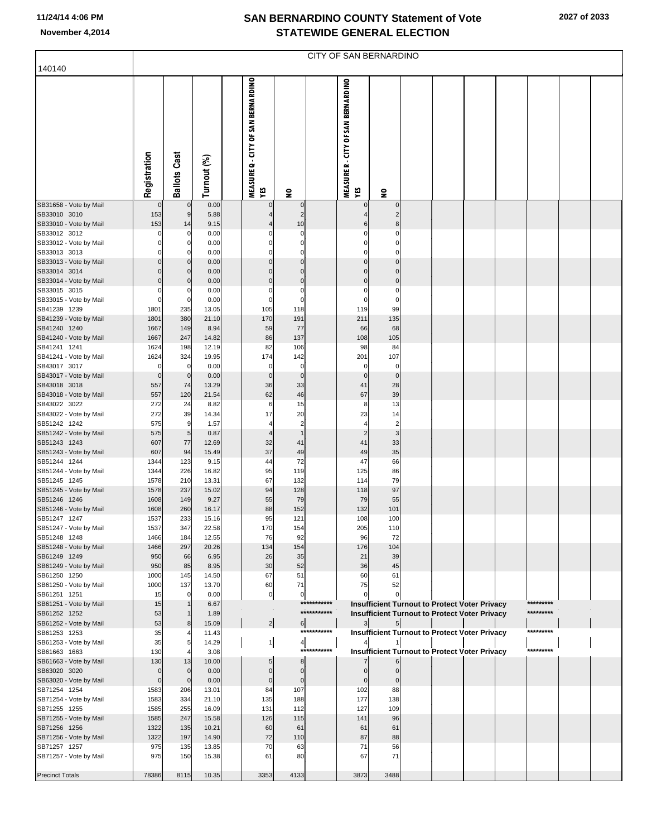| 2027 of 2033 |  |  |
|--------------|--|--|
|--------------|--|--|

| 140140                                 | CITY OF SAN BERNARDINO |                        |                |                                           |                                         |                  |                                           |                      |  |  |                                                      |  |           |  |
|----------------------------------------|------------------------|------------------------|----------------|-------------------------------------------|-----------------------------------------|------------------|-------------------------------------------|----------------------|--|--|------------------------------------------------------|--|-----------|--|
|                                        |                        |                        |                |                                           |                                         |                  |                                           |                      |  |  |                                                      |  |           |  |
|                                        | Registration           | <b>Ballots Cast</b>    | Turnout (%)    | MEASURE Q - CITY OF SAN BERNARDINO<br>YES | $\mathbf{S}$                            |                  | MEASURE R - CITY OF SAN BERNARDINO<br>YES | $\mathbf{S}$         |  |  |                                                      |  |           |  |
| SB31658 - Vote by Mail                 | $\Omega$               | $\pmb{0}$              | 0.00           |                                           | $\overline{0}$                          |                  | 0                                         | $\Omega$             |  |  |                                                      |  |           |  |
| SB33010 3010<br>SB33010 - Vote by Mail | 153<br>153             | $\boldsymbol{9}$<br>14 | 5.88<br>9.15   |                                           | 2<br>10                                 |                  | 6                                         | 2<br>8               |  |  |                                                      |  |           |  |
| SB33012 3012                           |                        | 0                      | 0.00           |                                           | 0                                       |                  | 0                                         | 0                    |  |  |                                                      |  |           |  |
| SB33012 - Vote by Mail                 |                        | 0                      | 0.00           |                                           | $\Omega$<br>$\Omega$                    |                  | 0<br>0                                    | 0<br>0               |  |  |                                                      |  |           |  |
| SB33013 3013<br>SB33013 - Vote by Mail |                        | 0<br>$\mathbf 0$       | 0.00<br>0.00   |                                           | $\Omega$                                |                  |                                           | $\Omega$             |  |  |                                                      |  |           |  |
| SB33014 3014                           |                        | $\mathbf 0$            | 0.00           |                                           | $\Omega$                                |                  | 0                                         | 0                    |  |  |                                                      |  |           |  |
| SB33014 - Vote by Mail                 |                        | $\mathbf 0$            | 0.00           |                                           | $\mathbf 0$                             |                  | $\Omega$                                  | 0                    |  |  |                                                      |  |           |  |
| SB33015 3015<br>SB33015 - Vote by Mail |                        | 0<br>$\mathbf 0$       | 0.00<br>0.00   |                                           | 0<br>0<br>$\Omega$<br>$\Omega$          |                  | 0<br>$\Omega$                             | 0<br>0               |  |  |                                                      |  |           |  |
| SB41239 1239                           | 1801                   | 235                    | 13.05          |                                           | 105<br>118                              |                  | 119                                       | 99                   |  |  |                                                      |  |           |  |
| SB41239 - Vote by Mail                 | 1801                   | 380                    | 21.10          | 170                                       | 191                                     |                  | 211                                       | 135                  |  |  |                                                      |  |           |  |
| SB41240 1240<br>SB41240 - Vote by Mail | 1667<br>1667           | 149<br>247             | 8.94<br>14.82  |                                           | 59<br>77<br>86<br>137                   |                  | 66<br>108                                 | 68<br>105            |  |  |                                                      |  |           |  |
| SB41241 1241                           | 1624                   | 198                    | 12.19          |                                           | 82<br>106                               |                  | 98                                        | 84                   |  |  |                                                      |  |           |  |
| SB41241 - Vote by Mail                 | 1624                   | 324                    | 19.95          | 174                                       | 142                                     |                  | 201                                       | 107                  |  |  |                                                      |  |           |  |
| SB43017 3017                           |                        | $\mathbf 0$            | 0.00           |                                           | 0<br>$\Omega$                           |                  | 0                                         | 0                    |  |  |                                                      |  |           |  |
| SB43017 - Vote by Mail<br>SB43018 3018 | 557                    | $\mathbf 0$<br>74      | 0.00<br>13.29  |                                           | $\mathbf{0}$<br>$\mathbf 0$<br>33<br>36 |                  | $\Omega$<br>41                            | $\mathbf 0$<br>28    |  |  |                                                      |  |           |  |
| SB43018 - Vote by Mail                 | 557                    | 120                    | 21.54          |                                           | 62<br>46                                |                  | 67                                        | 39                   |  |  |                                                      |  |           |  |
| SB43022 3022                           | 272                    | 24                     | 8.82           |                                           | 15<br>6                                 |                  | 8                                         | 13                   |  |  |                                                      |  |           |  |
| SB43022 - Vote by Mail<br>SB51242 1242 | 272<br>575             | 39<br>9                | 14.34<br>1.57  |                                           | 17<br>20<br>$\overline{c}$              |                  | 23<br>4                                   | 14<br>$\overline{c}$ |  |  |                                                      |  |           |  |
| SB51242 - Vote by Mail                 | 575                    | 5                      | 0.87           |                                           | $\mathbf{1}$                            |                  | $\overline{2}$                            | 3                    |  |  |                                                      |  |           |  |
| SB51243 1243                           | 607                    | 77                     | 12.69          |                                           | 32<br>41                                |                  | 41                                        | 33                   |  |  |                                                      |  |           |  |
| SB51243 - Vote by Mail                 | 607                    | 94                     | 15.49          |                                           | 37<br>49                                |                  | 49                                        | 35                   |  |  |                                                      |  |           |  |
| SB51244 1244<br>SB51244 - Vote by Mail | 1344<br>1344           | 123<br>226             | 9.15<br>16.82  |                                           | 72<br>44<br>95<br>119                   |                  | 47<br>125                                 | 66<br>86             |  |  |                                                      |  |           |  |
| SB51245 1245                           | 1578                   | 210                    | 13.31          |                                           | 67<br>132                               |                  | 114                                       | 79                   |  |  |                                                      |  |           |  |
| SB51245 - Vote by Mail                 | 1578                   | 237                    | 15.02          |                                           | 94<br>128                               |                  | 118                                       | 97                   |  |  |                                                      |  |           |  |
| SB51246 1246<br>SB51246 - Vote by Mail | 1608<br>1608           | 149<br>260             | 9.27<br>16.17  |                                           | 55<br>79<br>88<br>152                   |                  | 79<br>132                                 | 55<br>101            |  |  |                                                      |  |           |  |
| SB51247 1247                           | 1537                   | 233                    | 15.16          |                                           | 95<br>121                               |                  | 108                                       | 100                  |  |  |                                                      |  |           |  |
| SB51247 - Vote by Mail                 | 1537                   | 347                    | 22.58          | 170                                       | 154                                     |                  | 205                                       | 110                  |  |  |                                                      |  |           |  |
| SB51248 1248                           | 1466                   | 184                    | 12.55          |                                           | 92<br>76                                |                  | 96                                        | 72                   |  |  |                                                      |  |           |  |
| SB51248 - Vote by Mail<br>SB61249 1249 | 1466<br>950            | 297<br>66              | 20.26<br>6.95  |                                           | 134<br>154<br>26<br>35                  |                  | 176<br>21                                 | 104<br>39            |  |  |                                                      |  |           |  |
| SB61249 - Vote by Mail                 | 950                    | 85                     | 8.95           |                                           | 30<br>52                                |                  | 36                                        | 45                   |  |  |                                                      |  |           |  |
| SB61250 1250                           | 1000                   | 145                    | 14.50          |                                           | 67<br>51                                |                  | 60                                        | 61                   |  |  |                                                      |  |           |  |
| SB61250 - Vote by Mail<br>SB61251 1251 | 1000<br>15             | 137<br>0               | 13.70<br>0.00  |                                           | 60<br>71<br>$\overline{0}$<br>$\circ$   |                  | 75<br>0                                   | 52<br>0              |  |  |                                                      |  |           |  |
| SB61251 - Vote by Mail                 | 15                     | $\mathbf{1}$           | 6.67           |                                           |                                         | ***********      |                                           |                      |  |  | Insufficient Turnout to Protect Voter Privacy        |  | ********* |  |
| SB61252 1252                           | 53                     | $\mathbf{1}$           | 1.89           |                                           |                                         | ***********      |                                           |                      |  |  | <b>Insufficient Turnout to Protect Voter Privacy</b> |  | ********* |  |
| SB61252 - Vote by Mail<br>SB61253 1253 | 53<br>35               | 8<br>4                 | 15.09<br>11.43 |                                           | $\mathbf{2}$                            | 6<br>*********** | $\frac{3}{2}$                             |                      |  |  | <b>Insufficient Turnout to Protect Voter Privacy</b> |  | ********* |  |
| SB61253 - Vote by Mail                 | 35                     | 5                      | 14.29          |                                           | $\frac{1}{2}$                           | 4                |                                           |                      |  |  |                                                      |  |           |  |
| SB61663 1663                           | 130                    | $\overline{4}$         | 3.08           |                                           |                                         | ***********      |                                           |                      |  |  | <b>Insufficient Turnout to Protect Voter Privacy</b> |  | ********* |  |
| SB61663 - Vote by Mail<br>SB63020 3020 | 130<br>$\Omega$        | 13<br>$\mathbf 0$      | 10.00<br>0.00  |                                           | 8<br>5<br>$\overline{0}$<br>0           |                  | 0                                         | 0                    |  |  |                                                      |  |           |  |
| SB63020 - Vote by Mail                 | $\Omega$               | $\mathbf 0$            | 0.00           |                                           | $\overline{0}$<br>$\overline{0}$        |                  | 0                                         | 0                    |  |  |                                                      |  |           |  |
| SB71254 1254                           | 1583                   | 206                    | 13.01          |                                           | 107<br>84                               |                  | 102                                       | 88                   |  |  |                                                      |  |           |  |
| SB71254 - Vote by Mail                 | 1583<br>1585           | 334<br>255             | 21.10<br>16.09 |                                           | 135<br>188                              |                  | 177<br>127                                | 138                  |  |  |                                                      |  |           |  |
| SB71255 1255<br>SB71255 - Vote by Mail | 1585                   | 247                    | 15.58          | 131                                       | 112<br>126<br>115                       |                  | 141                                       | 109<br>96            |  |  |                                                      |  |           |  |
| SB71256 1256                           | 1322                   | 135                    | 10.21          |                                           | 60<br>61                                |                  | 61                                        | 61                   |  |  |                                                      |  |           |  |
| SB71256 - Vote by Mail                 | 1322                   | 197                    | 14.90          |                                           | 72<br>110                               |                  | 87                                        | 88                   |  |  |                                                      |  |           |  |
| SB71257 1257<br>SB71257 - Vote by Mail | 975<br>975             | 135<br>150             | 13.85<br>15.38 |                                           | 70<br>63<br>61<br>80                    |                  | 71<br>67                                  | 56<br>71             |  |  |                                                      |  |           |  |
| <b>Precinct Totals</b>                 | 78386                  | 8115                   | 10.35          | 3353                                      | 4133                                    |                  | 3873                                      | 3488                 |  |  |                                                      |  |           |  |